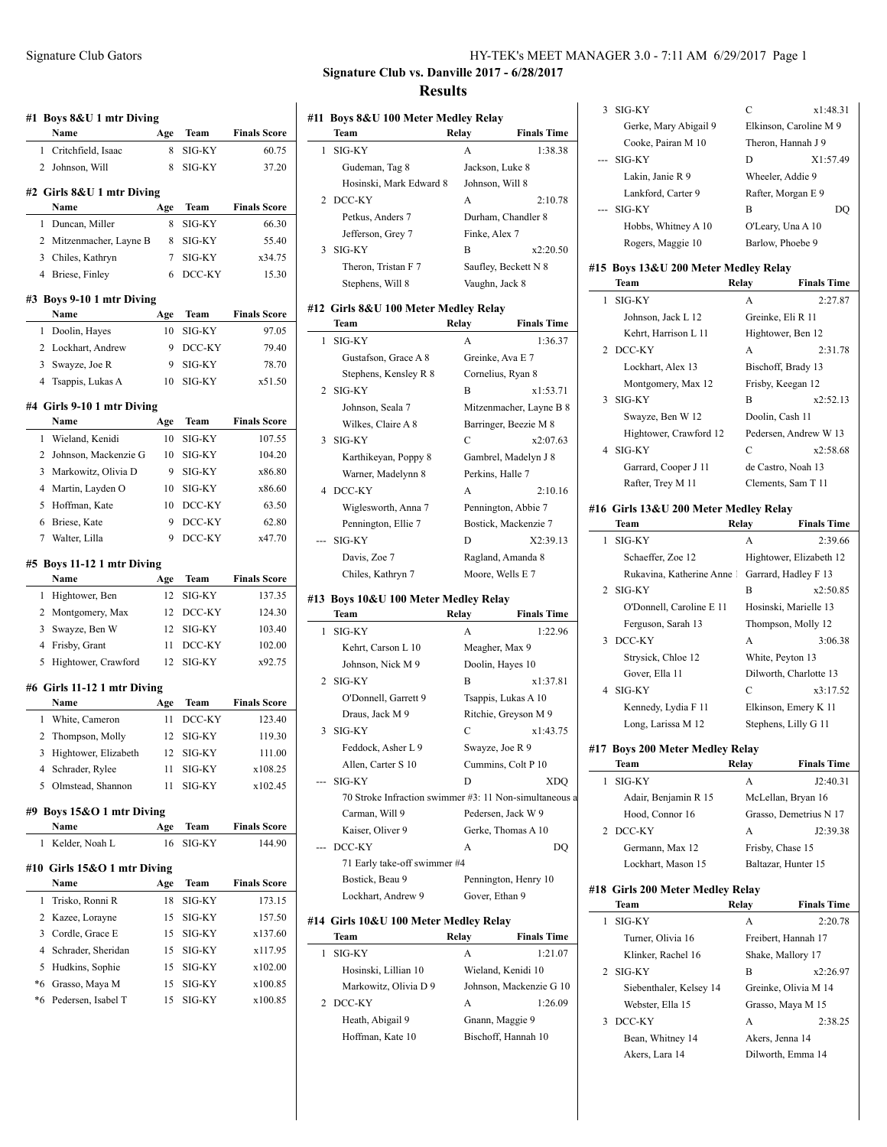|                | Boys 8&U 1 mtr Diving<br>Name      | Age      | Team             | <b>Finals Score</b>                                                      |
|----------------|------------------------------------|----------|------------------|--------------------------------------------------------------------------|
| $\mathbf{1}$   | Critchfield, Isaac                 | 8        | SIG-KY           | 60.75                                                                    |
|                | 2 Johnson, Will                    | 8        | SIG-KY           | 37.20                                                                    |
|                |                                    |          |                  |                                                                          |
|                | #2 Girls 8&U 1 mtr Diving<br>Name  | Age      | Team             | <b>Finals Score</b>                                                      |
| 1              | Duncan, Miller                     | 8        | SIG-KY           | 66.30                                                                    |
|                | 2 Mitzenmacher, Layne B            | 8        | SIG-KY           | 55.40                                                                    |
|                | 3 Chiles, Kathryn                  | 7        | SIG-KY           | x34.75                                                                   |
|                | 4 Briese, Finley                   | 6        | DCC-KY           | 15.30                                                                    |
|                |                                    |          |                  |                                                                          |
|                | #3 Boys 9-10 1 mtr Diving<br>Name  | Age      | <b>Team</b>      | <b>Finals Score</b>                                                      |
| 1              | Doolin, Hayes                      | 10       | SIG-KY           | 97.05                                                                    |
|                | 2 Lockhart, Andrew                 | 9        | DCC-KY           | 79.40                                                                    |
| $\overline{3}$ | Swayze, Joe R                      | 9        | SIG-KY           | 78.70                                                                    |
|                | 4 Tsappis, Lukas A                 | 10       | SIG-KY           | x51.50                                                                   |
|                |                                    |          |                  |                                                                          |
|                | #4 Girls 9-10 1 mtr Diving<br>Name | Age      | Team             | <b>Finals Score</b>                                                      |
| 1              | Wieland, Kenidi                    | 10       | SIG-KY           | 107.55                                                                   |
| $\overline{2}$ | Johnson, Mackenzie G               | 10       | SIG-KY           | 104.20                                                                   |
| 3              | Markowitz, Olivia D                | 9        | SIG-KY           | x86.80                                                                   |
|                | 4 Martin, Layden O                 | 10       | SIG-KY           | x86.60                                                                   |
| 5              | Hoffman, Kate                      | 10       | DCC-KY           | 63.50                                                                    |
| 6              | Briese, Kate                       | 9        | DCC-KY           | 62.80                                                                    |
|                | 7 Walter, Lilla                    | 9        | DCC-KY           | x47.70                                                                   |
|                | Name                               | Age      | Team             |                                                                          |
|                |                                    |          |                  |                                                                          |
| 1              | Hightower, Ben                     | 12       | SIG-KY           |                                                                          |
| 2              | Montgomery, Max                    | 12       | DCC-KY           |                                                                          |
| 3              | Swayze, Ben W                      | 12       | SIG-KY           | <b>Finals Score</b><br>137.35<br>124.30<br>103.40                        |
|                | 4 Frisby, Grant                    | 11       | DCC-KY           | 102.00                                                                   |
| 5              | Hightower, Crawford                | 12       | SIG-KY           |                                                                          |
|                | #6 Girls 11-12 1 mtr Diving        |          |                  |                                                                          |
|                | Name                               | Age      | Team             |                                                                          |
| 1              | White, Cameron                     | 11       | DCC-KY           |                                                                          |
|                | Thompson, Molly                    | 12       | SIG-KY           |                                                                          |
| 2<br>3         | Hightower, Elizabeth               | 12       | SIG-KY           |                                                                          |
|                | Schrader, Rylee                    | 11       | SIG-KY           | x92.75<br><b>Finals Score</b><br>123.40<br>119.30<br>111.00<br>x108.25   |
| 4<br>5         | Olmstead, Shannon                  | 11       | SIG-KY           |                                                                          |
|                | #9 Boys 15&O 1 mtr Diving          |          |                  | x102.45                                                                  |
|                | Name                               | Age      | Team             |                                                                          |
| 1              | Kelder, Noah L                     | 16       | SIG-KY           |                                                                          |
|                | #10 Girls 15&O 1 mtr Diving        |          |                  |                                                                          |
|                | Name                               | Age      | Team             |                                                                          |
| 1              | Trisko, Ronni R                    | 18       | SIG-KY           |                                                                          |
| 2              | Kazee, Lorayne                     | 15       | SIG-KY           | <b>Finals Score</b><br>144.90<br><b>Finals Score</b><br>173.15<br>157.50 |
| 3              | Cordle, Grace E                    | 15       | SIG-KY           | x137.60                                                                  |
| 4              | Schrader, Sheridan                 | 15       | SIG-KY           | x117.95                                                                  |
| 5<br>*6        | Hudkins, Sophie<br>Grasso, Maya M  | 15<br>15 | SIG-KY<br>SIG-KY | x102.00<br>x100.85                                                       |

| HY-TEK's MEET MANAGER 3.0 - 7:11 AM 6/29/2017 Page 1 |  |  |  |  |
|------------------------------------------------------|--|--|--|--|
|------------------------------------------------------|--|--|--|--|

## **Signature Club vs. Danville 2017 - 6/28/2017 Results**

# **#11 Boys 8&U 100 Meter Medley Relay Team Relay Finals Time** 1 SIG-KY A 1:38.38 Gudeman, Tag 8 Jackson, Luke 8 Hosinski, Mark Edward 8 Johnson, Will 8 2 DCC-KY A 2:10.78 Petkus, Anders 7 Durham, Chandler 8 Jefferson, Grey 7 Finke, Alex 7 3 SIG-KY B x2:20.50 Theron, Tristan F 7 Saufley, Beckett N 8 Stephens, Will 8 Vaughn, Jack 8 **#12 Girls 8&U 100 Meter Medley Relay Team Relay Finals Time** 1 SIG-KY A 1:36.37 Gustafson, Grace A 8 Greinke, Ava E 7 Stephens, Kensley R 8 Cornelius, Ryan 8 2 SIG-KY B x1:53.71 Johnson, Seala 7 Mitzenmacher, Layne B 8 Wilkes, Claire A 8 Barringer, Beezie M 8 3 SIG-KY C x2:07.63 Karthikeyan, Poppy 8 Gambrel, Madelyn J 8 Warner, Madelynn 8 Perkins, Halle 7 4 DCC-KY A 2:10.16 Wiglesworth, Anna 7 Pennington, Abbie 7 Pennington, Ellie 7 Bostick, Mackenzie 7 --- SIG-KY D X2:39.13 Davis, Zoe 7 Ragland, Amanda 8 Chiles, Kathryn 7 Moore, Wells E 7

## **#13 Boys 10&U 100 Meter Medley Relay**

|   | Team                                                   | Relay | <b>Finals Time</b>   |                                 |
|---|--------------------------------------------------------|-------|----------------------|---------------------------------|
| 1 | SIG-KY                                                 | A     | 1:22.96              |                                 |
|   | Kehrt, Carson L 10                                     |       | Meagher, Max 9       | $\mathcal{L}$<br>D0             |
|   | Johnson, Nick M 9                                      |       | Doolin, Hayes 10     |                                 |
|   | 2 SIG-KY                                               | B     | x1:37.81             |                                 |
|   | O'Donnell, Garrett 9                                   |       | Tsappis, Lukas A 10  | -SI<br>4                        |
|   | Draus, Jack M 9                                        |       | Ritchie, Greyson M 9 |                                 |
| 3 | SIG-KY                                                 | C     | x1:43.75             |                                 |
|   | Feddock, Asher L 9                                     |       | Swayze, Joe R 9      | #17 Bo                          |
|   | Allen, Carter S 10                                     |       | Cummins, Colt P 10   | Te                              |
|   | SIG-KY                                                 | D     | <b>XDO</b>           | <b>SI</b><br>1                  |
|   | 70 Stroke Infraction swimmer #3: 11 Non-simultaneous a |       |                      |                                 |
|   | Carman, Will 9                                         |       | Pedersen, Jack W 9   |                                 |
|   | Kaiser, Oliver 9                                       |       | Gerke, Thomas A 10   | D <sub>0</sub><br>$\mathcal{L}$ |
|   | DCC-KY                                                 | A     | DO                   |                                 |
|   | 71 Early take-off swimmer #4                           |       |                      |                                 |
|   | Bostick, Beau 9                                        |       | Pennington, Henry 10 |                                 |
|   | Lockhart, Andrew 9                                     |       | Gover, Ethan 9       | #18<br>Gi                       |

#### **#14 Girls 10&U 100 Meter Medley Relay**

| Team                  | Relay | <b>Finals Time</b>      |
|-----------------------|-------|-------------------------|
| SIG-KY                | A     | 1:21.07                 |
| Hosinski, Lillian 10  |       | Wieland, Kenidi 10      |
| Markowitz, Olivia D 9 |       | Johnson, Mackenzie G 10 |
| DCC-KY                | A     | 1:26.09                 |
| Heath, Abigail 9      |       | Gnann, Maggie 9         |
| Hoffman, Kate 10      |       | Bischoff, Hannah 10     |

|   | 3 SIG-KY                             | С                  | x1:48.31               |
|---|--------------------------------------|--------------------|------------------------|
|   | Gerke, Mary Abigail 9                |                    | Elkinson, Caroline M 9 |
|   | Cooke, Pairan M 10                   | Theron, Hannah J 9 |                        |
|   | --- SIG-KY                           | D                  | X1:57.49               |
|   | Lakin, Janie R 9                     | Wheeler, Addie 9   |                        |
|   | Lankford, Carter 9                   | Rafter, Morgan E 9 |                        |
|   | --- SIG-KY                           | B                  | DO                     |
|   | Hobbs, Whitney A 10                  | O'Leary, Una A 10  |                        |
|   | Rogers, Maggie 10                    | Barlow, Phoebe 9   |                        |
|   | #15 Boys 13&U 200 Meter Medley Relay |                    |                        |
|   | Team                                 | Relay              | <b>Finals Time</b>     |
| 1 | SIG-KY                               | $\mathsf{A}$       | 2:27.87                |
|   | Johnson, Jack L 12                   | Greinke, Eli R 11  |                        |
|   | Kehrt, Harrison L 11                 | Hightower, Ben 12  |                        |
|   | 2 DCC-KY                             | A                  | 2:31.78                |
|   | Lockhart, Alex 13                    | Bischoff, Brady 13 |                        |

|   | Lockhart, Alex 13      | Bischoff, Brady 13    |          |
|---|------------------------|-----------------------|----------|
|   | Montgomery, Max 12     | Frisby, Keegan 12     |          |
|   | SIG-KY                 | в                     | x2:52.13 |
|   | Swayze, Ben W 12       | Doolin, Cash 11       |          |
|   | Hightower, Crawford 12 | Pedersen, Andrew W 13 |          |
| 4 | SIG-KY                 | C                     | x2:58.68 |
|   | Garrard, Cooper J 11   | de Castro, Noah 13    |          |
|   | Rafter, Trey M 11      | Clements, Sam T 11    |          |

#### **#16 Girls 13&U 200 Meter Medley Relay**

| Team                                          | Relay | <b>Finals Time</b>      |
|-----------------------------------------------|-------|-------------------------|
| SIG-KY<br>L                                   | A     | 2:39.66                 |
| Schaeffer, Zoe 12                             |       | Hightower, Elizabeth 12 |
| Rukavina, Katherine Anne Garrard, Hadley F 13 |       |                         |
| 2 SIG-KY                                      | B     | x2:50.85                |
| O'Donnell, Caroline E 11                      |       | Hosinski, Marielle 13   |
| Ferguson, Sarah 13                            |       | Thompson, Molly 12      |
| 3 DCC-KY                                      | A     | 3:06.38                 |
| Strysick, Chloe 12                            |       | White, Peyton 13        |
| Gover, Ella 11                                |       | Dilworth, Charlotte 13  |
| SIG-KY<br>4                                   | C     | x3:17.52                |
| Kennedy, Lydia F 11                           |       | Elkinson, Emery K 11    |
| Long, Larissa M 12                            |       | Stephens, Lilly G 11    |
|                                               |       |                         |

## **#17 Boys 200 Meter Medley Relay**

|             | Team                 | Relay            | <b>Finals Time</b>     |
|-------------|----------------------|------------------|------------------------|
|             | SIG-KY               | А                | J2:40.31               |
|             | Adair, Benjamin R 15 |                  | McLellan, Bryan 16     |
|             | Hood, Connor 16      |                  | Grasso, Demetrius N 17 |
| $2^{\circ}$ | DCC-KY               | А                | J2:39.38               |
|             | Germann, Max 12      | Frisby, Chase 15 |                        |
|             | Lockhart, Mason 15   |                  | Baltazar, Hunter 15    |
|             |                      |                  |                        |

## **#18 Girls 200 Meter Medley Relay**

| Team                    | Relav           | <b>Finals Time</b>   |
|-------------------------|-----------------|----------------------|
| SIG-KY                  | A               | 2:20.78              |
| Turner, Olivia 16       |                 | Freibert, Hannah 17  |
| Klinker, Rachel 16      |                 | Shake, Mallory 17    |
| $2$ SIG-KY              | в               | x2:26.97             |
| Siebenthaler, Kelsey 14 |                 | Greinke, Olivia M 14 |
| Webster, Ella 15        |                 | Grasso, Maya M 15    |
| DCC-KY<br>$\mathcal{F}$ | A               | 2:38.25              |
| Bean, Whitney 14        | Akers, Jenna 14 |                      |
| Akers, Lara 14          |                 | Dilworth, Emma 14    |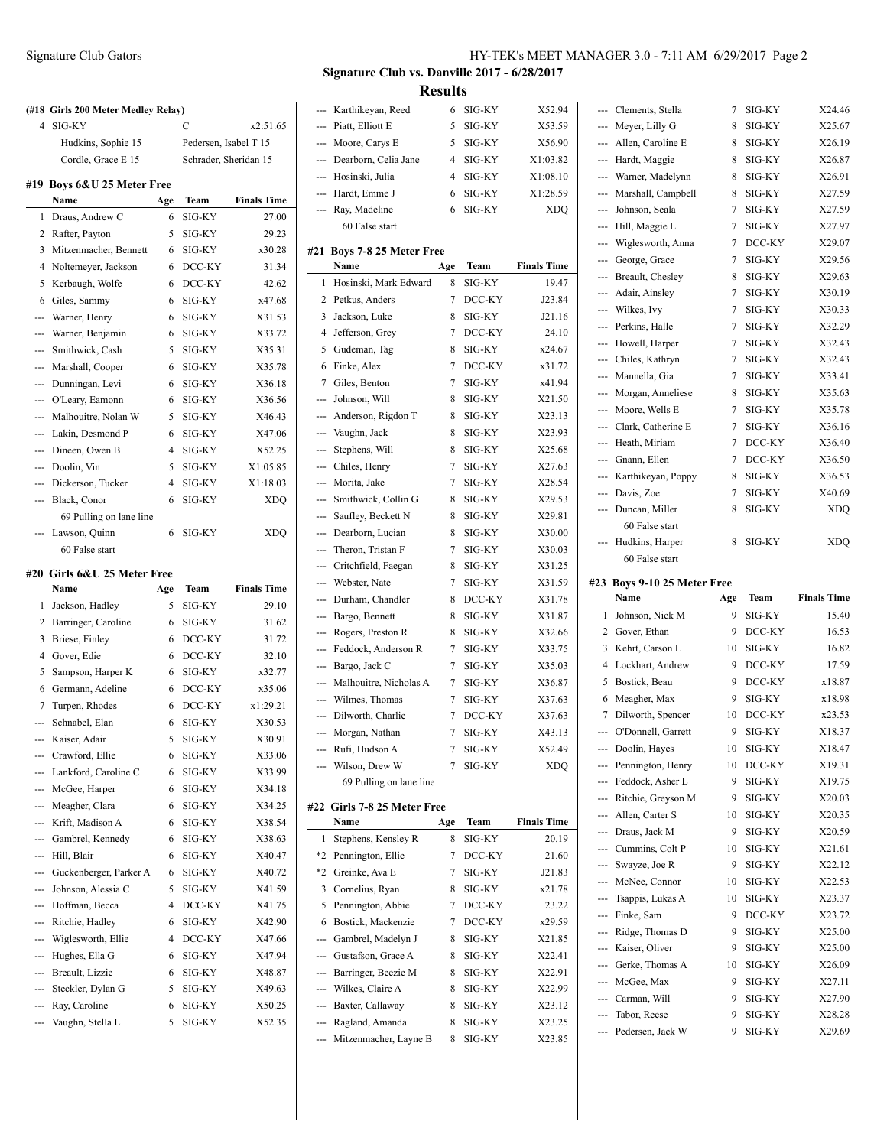# **(#18 Girls 200 Meter Medley Relay)** 4 SIG-KY C x2:51.65 Hudkins, Sophie 15 Pedersen, Isabel T 15 Cordle, Grace E 15 Schrader, Sheridan 15 **#19 Boys 6&U 25 Meter Free Name Age Team Finals Time** 1 Draus, Andrew C 6 SIG-KY 27.00 2 Rafter, Payton 5 SIG-KY 29.23 3 Mitzenmacher, Bennett 6 SIG-KY x30.28 4 Noltemeyer, Jackson 6 DCC-KY 31.34 5 Kerbaugh, Wolfe 6 DCC-KY 42.62 6 Giles, Sammy 6 SIG-KY x47.68 --- Warner, Henry 6 SIG-KY X31.53 --- Warner, Benjamin 6 SIG-KY X33.72 --- Smithwick, Cash 5 SIG-KY X35.31 --- Marshall, Cooper 6 SIG-KY X35.78 --- Dunningan, Levi 6 SIG-KY X36.18 --- O'Leary, Eamonn 6 SIG-KY X36.56 --- Malhouitre, Nolan W 5 SIG-KY X46.43 --- Lakin, Desmond P 6 SIG-KY X47.06 --- Dineen, Owen B 4 SIG-KY X52.25 --- Doolin, Vin 5 SIG-KY X1:05.85 --- Dickerson, Tucker 4 SIG-KY X1:18.03 --- Black, Conor 6 SIG-KY XDQ 69 Pulling on lane line --- Lawson, Quinn 6 SIG-KY XDQ 60 False start **#20 Girls 6&U 25 Meter Free**

|     | Name                   | Age | Team   | <b>Finals Time</b> |
|-----|------------------------|-----|--------|--------------------|
| 1   | Jackson, Hadley        | 5   | SIG-KY | 29.10              |
| 2   | Barringer, Caroline    | 6   | SIG-KY | 31.62              |
| 3   | Briese, Finley         | 6   | DCC-KY | 31.72              |
| 4   | Gover, Edie            | 6   | DCC-KY | 32.10              |
| 5   | Sampson, Harper K      | 6   | SIG-KY | x32.77             |
| 6   | Germann, Adeline       | 6   | DCC-KY | x35.06             |
| 7   | Turpen, Rhodes         | 6   | DCC-KY | x1:29.21           |
| --- | Schnabel, Elan         | 6   | SIG-KY | X30.53             |
| --- | Kaiser, Adair          | 5   | SIG-KY | X30.91             |
| --- | Crawford, Ellie        | 6   | SIG-KY | X33.06             |
| --- | Lankford, Caroline C   | 6   | SIG-KY | X33.99             |
| --- | McGee, Harper          | 6   | SIG-KY | X34.18             |
| --- | Meagher, Clara         | 6   | SIG-KY | X34.25             |
| --- | Krift, Madison A       | 6   | SIG-KY | X38.54             |
| --- | Gambrel, Kennedy       | 6   | SIG-KY | X38.63             |
| --- | Hill, Blair            | 6   | SIG-KY | X40.47             |
| --- | Guckenberger, Parker A | 6   | SIG-KY | X40.72             |
| --- | Johnson, Alessia C     | 5   | SIG-KY | X41.59             |
| --- | Hoffman, Becca         | 4   | DCC-KY | X41.75             |
| --- | Ritchie, Hadley        | 6   | SIG-KY | X42.90             |
|     | --- Wiglesworth, Ellie | 4   | DCC-KY | X47.66             |
| --- | Hughes, Ella G         | 6   | SIG-KY | X47.94             |
| --- | Breault, Lizzie        | 6   | SIG-KY | X48.87             |
| --- | Steckler, Dylan G      | 5   | SIG-KY | X49.63             |
| --- | Ray, Caroline          | 6   | SIG-KY | X50.25             |
|     | --- Vaughn, Stella L   | 5   | SIG-KY | X52.35             |
|     |                        |     |        |                    |

# **Signature Club vs. Danville 2017 - 6/28/2017 Results**

|            | Karthikeyan, Reed                | 6      | SIG-KY           | X52.94               |
|------------|----------------------------------|--------|------------------|----------------------|
| ---        | Piatt, Elliott E                 | 5      | SIG-KY           | X53.59               |
| ---        | Moore, Carys E                   | 5      | SIG-KY           | X56.90               |
| ---        | Dearborn, Celia Jane             | 4      | SIG-KY           | X1:03.82             |
| ---        | Hosinski, Julia                  | 4      | SIG-KY           | X1:08.10             |
| ---        | Hardt, Emme J                    | 6      | SIG-KY           | X1:28.59             |
| ---        | Ray, Madeline                    | 6      | SIG-KY           | <b>XDQ</b>           |
|            | 60 False start                   |        |                  |                      |
|            |                                  |        |                  |                      |
| #21        | Boys 7-8 25 Meter Free<br>Name   | Age    | Team             | <b>Finals Time</b>   |
| 1          | Hosinski, Mark Edward            | 8      | SIG-KY           | 19.47                |
| 2          | Petkus, Anders                   | 7      | DCC-KY           | J23.84               |
| 3          | Jackson, Luke                    | 8      | SIG-KY           | J21.16               |
| 4          | Jefferson, Grey                  | 7      | DCC-KY           | 24.10                |
| 5          | Gudeman, Tag                     | 8      | SIG-KY           | x24.67               |
| 6          | Finke, Alex                      | 7      | DCC-KY           | x31.72               |
| 7          | Giles, Benton                    | 7      | SIG-KY           | x41.94               |
| ---        | Johnson, Will                    | 8      | SIG-KY           | X21.50               |
| ---        | Anderson, Rigdon T               | 8      | SIG-KY           | X23.13               |
| ---        | Vaughn, Jack                     | 8      | SIG-KY           | X23.93               |
| ---        | Stephens, Will                   | 8      | SIG-KY           | X25.68               |
| ---        | Chiles, Henry                    | 7      | SIG-KY           | X27.63               |
| ---        | Morita, Jake                     | 7      | SIG-KY           | X28.54               |
| ---        | Smithwick, Collin G              | 8      | SIG-KY           | X29.53               |
| ---        | Saufley, Beckett N               | 8      | SIG-KY           | X29.81               |
| ---        | Dearborn, Lucian                 | 8      | SIG-KY           | X30.00               |
| ---        | Theron, Tristan F                | 7      | SIG-KY           | X30.03               |
| ---        | Critchfield, Faegan              | 8      | SIG-KY           | X31.25               |
| ---        | Webster, Nate                    | 7      | SIG-KY           | X31.59               |
| ---        | Durham, Chandler                 | 8      | DCC-KY           | X31.78               |
| ---        | Bargo, Bennett                   | 8      | SIG-KY           | X31.87               |
| ---        | Rogers, Preston R                | 8      | SIG-KY           | X32.66               |
| ---        | Feddock, Anderson R              | 7      | SIG-KY           | X33.75               |
| ---        | Bargo, Jack C                    | 7      | SIG-KY           | X35.03               |
| ---        | Malhouitre, Nicholas A           | 7      | SIG-KY           | X36.87               |
| ---        | Wilmes, Thomas                   | 7      | SIG-KY           | X37.63               |
|            | Dilworth, Charlie                | 7      | DCC-KY           | X37.63               |
| ---<br>--- | Morgan, Nathan                   | 7      | SIG-KY           | X43.13               |
|            |                                  |        |                  |                      |
| ---        | Rufi, Hudson A<br>Wilson, Drew W | 7<br>7 | SIG-KY<br>SIG-KY | X52.49<br><b>XDQ</b> |
|            | 69 Pulling on lane line          |        |                  |                      |
|            |                                  |        |                  |                      |
|            | #22 Girls 7-8 25 Meter Free      |        |                  |                      |
|            | Name                             | Age    | Team             | <b>Finals Time</b>   |
| 1          | Stephens, Kensley R              | 8      | SIG-KY           | 20.19                |
| $*2$       | Pennington, Ellie                | 7      | DCC-KY           | 21.60                |
| *2         | Greinke, Ava E                   | 7      | SIG-KY           | J21.83               |
| 3          | Cornelius, Ryan                  | 8      | SIG-KY           | x21.78               |
| 5          | Pennington, Abbie                | 7      | DCC-KY           | 23.22                |
| 6          | Bostick, Mackenzie               | 7      | DCC-KY           | x29.59               |
| ---        | Gambrel, Madelyn J               | 8      | SIG-KY           | X21.85               |
| $-1$       | Gustafson, Grace A               | 8      | SIG-KY           | X22.41               |
|            | --- Barringer, Beezie M          | 8      | SIG-KY           | X22.91               |
|            | Wilkes, Claire A                 | 8      | SIG-KY           | X22.99               |
|            | Baxter, Callaway                 | 8      | SIG-KY           | X23.12               |
|            | Ragland, Amanda                  | 8      | SIG-KY           | X23.25               |
|            | Mitzenmacher, Layne B            | 8      | SIG-KY           | X23.85               |

| $---$                                                                                                                                                                                                                                                                                                                                                                                                                                                                      | Clements, Stella                 | 7      | SIG-KY           | X24.46             |
|----------------------------------------------------------------------------------------------------------------------------------------------------------------------------------------------------------------------------------------------------------------------------------------------------------------------------------------------------------------------------------------------------------------------------------------------------------------------------|----------------------------------|--------|------------------|--------------------|
|                                                                                                                                                                                                                                                                                                                                                                                                                                                                            | Meyer, Lilly G                   | 8      | SIG-KY           | X25.67             |
| ---                                                                                                                                                                                                                                                                                                                                                                                                                                                                        | Allen, Caroline E                | 8      | SIG-KY           | X26.19             |
| ---                                                                                                                                                                                                                                                                                                                                                                                                                                                                        | Hardt, Maggie                    | 8      | SIG-KY           | X26.87             |
| ---                                                                                                                                                                                                                                                                                                                                                                                                                                                                        | Warner, Madelynn                 | 8      | SIG-KY           | X26.91             |
| ---                                                                                                                                                                                                                                                                                                                                                                                                                                                                        | Marshall, Campbell               | 8      | SIG-KY           | X27.59             |
| ---                                                                                                                                                                                                                                                                                                                                                                                                                                                                        | Johnson, Seala                   | 7      | SIG-KY           | X27.59             |
| $\cdots$                                                                                                                                                                                                                                                                                                                                                                                                                                                                   | Hill, Maggie L                   | 7      | SIG-KY           | X27.97             |
| ---                                                                                                                                                                                                                                                                                                                                                                                                                                                                        | Wiglesworth, Anna                | 7      | DCC-KY           | X29.07             |
|                                                                                                                                                                                                                                                                                                                                                                                                                                                                            | --- George, Grace                | 7      | SIG-KY           | X29.56             |
| ---                                                                                                                                                                                                                                                                                                                                                                                                                                                                        | Breault, Chesley                 | 8      | SIG-KY           | X29.63             |
| $\cdots$                                                                                                                                                                                                                                                                                                                                                                                                                                                                   | Adair, Ainsley                   | 7      | SIG-KY           | X30.19             |
| $---$                                                                                                                                                                                                                                                                                                                                                                                                                                                                      | Wilkes, Ivy                      | 7      | SIG-KY           | X30.33             |
| ---                                                                                                                                                                                                                                                                                                                                                                                                                                                                        | Perkins, Halle                   | 7      | SIG-KY           | X32.29             |
| ---                                                                                                                                                                                                                                                                                                                                                                                                                                                                        | Howell, Harper                   | 7      | SIG-KY           | X32.43             |
| ---                                                                                                                                                                                                                                                                                                                                                                                                                                                                        | Chiles, Kathryn                  | 7      | SIG-KY           | X32.43             |
| ---                                                                                                                                                                                                                                                                                                                                                                                                                                                                        | Mannella, Gia                    | 7      | SIG-KY           | X33.41             |
| ---                                                                                                                                                                                                                                                                                                                                                                                                                                                                        | Morgan, Anneliese                | 8      | SIG-KY           | X35.63             |
| $\frac{1}{2} \left( \frac{1}{2} \right) \left( \frac{1}{2} \right) \left( \frac{1}{2} \right) \left( \frac{1}{2} \right) \left( \frac{1}{2} \right) \left( \frac{1}{2} \right) \left( \frac{1}{2} \right) \left( \frac{1}{2} \right) \left( \frac{1}{2} \right) \left( \frac{1}{2} \right) \left( \frac{1}{2} \right) \left( \frac{1}{2} \right) \left( \frac{1}{2} \right) \left( \frac{1}{2} \right) \left( \frac{1}{2} \right) \left( \frac{1}{2} \right) \left( \frac$ | Moore, Wells E                   | 7      | SIG-KY           | X35.78             |
| ---                                                                                                                                                                                                                                                                                                                                                                                                                                                                        | Clark, Catherine E               | 7      | SIG-KY           | X36.16             |
| ---                                                                                                                                                                                                                                                                                                                                                                                                                                                                        | Heath, Miriam                    | 7      | DCC-KY           | X36.40             |
| $\overline{a}$                                                                                                                                                                                                                                                                                                                                                                                                                                                             | Gnann, Ellen                     | 7      | DCC-KY           | X36.50             |
| ---                                                                                                                                                                                                                                                                                                                                                                                                                                                                        | Karthikeyan, Poppy               | 8      | SIG-KY           | X36.53             |
| ---                                                                                                                                                                                                                                                                                                                                                                                                                                                                        | Davis, Zoe                       | 7      | SIG-KY           | X40.69             |
| $\overline{a}$                                                                                                                                                                                                                                                                                                                                                                                                                                                             | Duncan, Miller                   | 8      | SIG-KY           | <b>XDO</b>         |
|                                                                                                                                                                                                                                                                                                                                                                                                                                                                            | 60 False start                   |        |                  |                    |
| ---                                                                                                                                                                                                                                                                                                                                                                                                                                                                        | Hudkins, Harper                  | 8      | SIG-KY           | XDQ                |
|                                                                                                                                                                                                                                                                                                                                                                                                                                                                            | 60 False start                   |        |                  |                    |
|                                                                                                                                                                                                                                                                                                                                                                                                                                                                            |                                  |        |                  |                    |
|                                                                                                                                                                                                                                                                                                                                                                                                                                                                            | #23 Boys 9-10 25 Meter Free      |        |                  |                    |
|                                                                                                                                                                                                                                                                                                                                                                                                                                                                            | Name                             | Age    | Team             | <b>Finals Time</b> |
| 1                                                                                                                                                                                                                                                                                                                                                                                                                                                                          | Johnson, Nick M                  | 9      | SIG-KY           | 15.40              |
| 2                                                                                                                                                                                                                                                                                                                                                                                                                                                                          | Gover, Ethan                     | 9      | DCC-KY           | 16.53              |
| 3                                                                                                                                                                                                                                                                                                                                                                                                                                                                          | Kehrt, Carson L                  | 10     | SIG-KY           | 16.82              |
| 4                                                                                                                                                                                                                                                                                                                                                                                                                                                                          | Lockhart, Andrew                 | 9      | DCC-KY           | 17.59              |
| 5                                                                                                                                                                                                                                                                                                                                                                                                                                                                          | Bostick, Beau                    | 9      | DCC-KY           | x18.87             |
| 6                                                                                                                                                                                                                                                                                                                                                                                                                                                                          | Meagher, Max                     | 9      | SIG-KY           | x18.98             |
| 7                                                                                                                                                                                                                                                                                                                                                                                                                                                                          | Dilworth, Spencer                | 10     | DCC-KY           | x23.53             |
| ---                                                                                                                                                                                                                                                                                                                                                                                                                                                                        | O'Donnell, Garrett               | 9      | SIG-KY           | X18.37             |
| ---                                                                                                                                                                                                                                                                                                                                                                                                                                                                        | Doolin, Hayes                    | 10     | SIG-KY           | X18.47             |
|                                                                                                                                                                                                                                                                                                                                                                                                                                                                            | Pennington, Henry                | 10     | DCC-KY           | X19.31             |
| ---                                                                                                                                                                                                                                                                                                                                                                                                                                                                        | Feddock, Asher L                 | 9      | SIG-KY           | X19.75             |
| ---                                                                                                                                                                                                                                                                                                                                                                                                                                                                        | Ritchie, Greyson M               | 9      | SIG-KY           | X20.03             |
| ---                                                                                                                                                                                                                                                                                                                                                                                                                                                                        | Allen, Carter S                  | 10     | SIG-KY           | X20.35             |
| ---                                                                                                                                                                                                                                                                                                                                                                                                                                                                        | Draus, Jack M                    | 9      | SIG-KY           | X20.59             |
| ---                                                                                                                                                                                                                                                                                                                                                                                                                                                                        | Cummins, Colt P                  | 10     | SIG-KY           | X21.61             |
|                                                                                                                                                                                                                                                                                                                                                                                                                                                                            | Swayze, Joe R                    | 9      | SIG-KY           | X22.12             |
| ---                                                                                                                                                                                                                                                                                                                                                                                                                                                                        | McNee, Connor                    | 10     | SIG-KY           | X22.53             |
| ---                                                                                                                                                                                                                                                                                                                                                                                                                                                                        | Tsappis, Lukas A                 | 10     | SIG-KY           | X23.37             |
| ---                                                                                                                                                                                                                                                                                                                                                                                                                                                                        | Finke, Sam                       | 9      | DCC-KY           | X23.72             |
| ---                                                                                                                                                                                                                                                                                                                                                                                                                                                                        | Ridge, Thomas D                  | 9      | SIG-KY           | X25.00             |
| ---                                                                                                                                                                                                                                                                                                                                                                                                                                                                        | Kaiser, Oliver                   | 9      | SIG-KY           | X25.00             |
| ---                                                                                                                                                                                                                                                                                                                                                                                                                                                                        | Gerke, Thomas A                  | 10     | SIG-KY           | X26.09             |
| ---                                                                                                                                                                                                                                                                                                                                                                                                                                                                        | McGee, Max                       | 9      | SIG-KY           | X27.11             |
| ---                                                                                                                                                                                                                                                                                                                                                                                                                                                                        | Carman, Will                     | 9      | SIG-KY           | X27.90             |
| ---<br>---                                                                                                                                                                                                                                                                                                                                                                                                                                                                 | Tabor, Reese<br>Pedersen, Jack W | 9<br>9 | SIG-KY<br>SIG-KY | X28.28<br>X29.69   |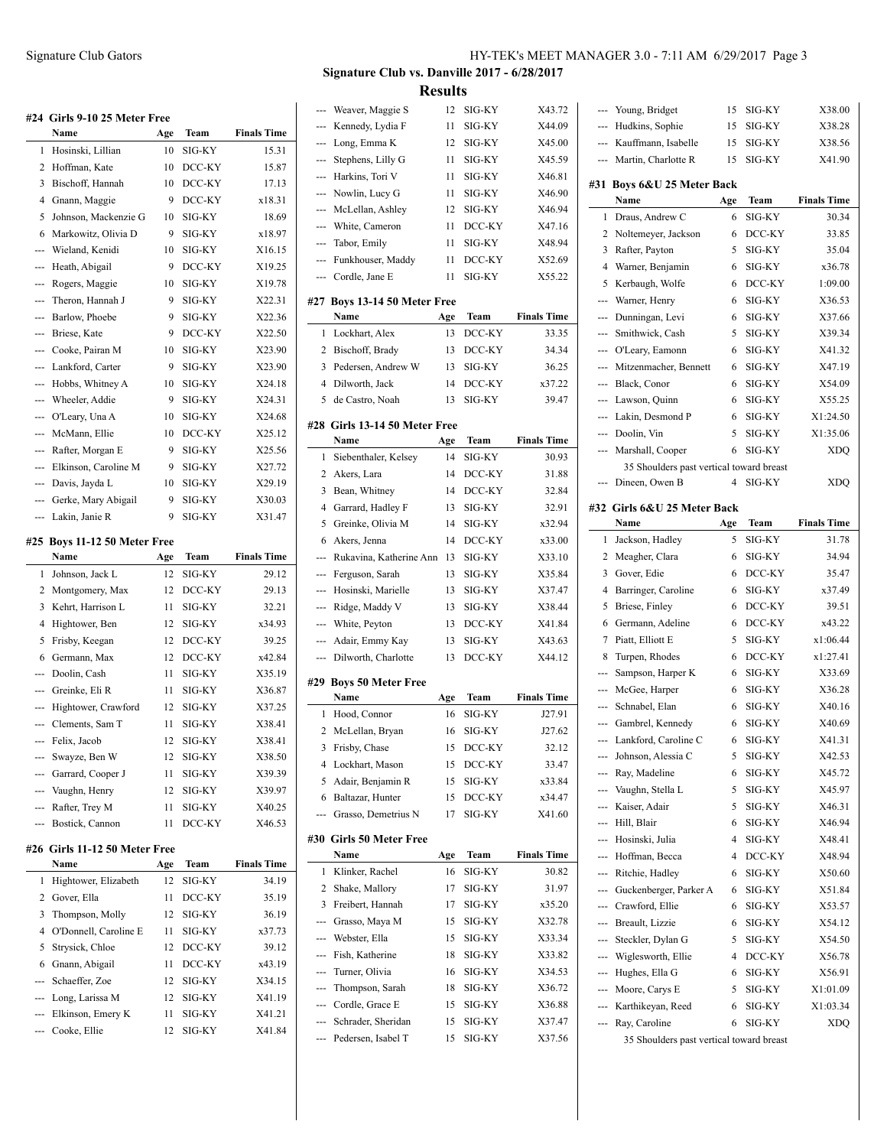|              | #24  Girls 9-10 25 Meter Free<br>Name | Age      | Team             | <b>Finals Time</b> |
|--------------|---------------------------------------|----------|------------------|--------------------|
| 1            | Hosinski, Lillian                     | 10       | SIG-KY           | 15.31              |
| 2            | Hoffman, Kate                         | 10       | DCC-KY           | 15.87              |
| 3            | Bischoff, Hannah                      | 10       | DCC-KY           | 17.13              |
| 4            | Gnann, Maggie                         | 9        | DCC-KY           | x18.31             |
| 5            | Johnson, Mackenzie G                  | 10       | SIG-KY           | 18.69              |
| 6            | Markowitz, Olivia D                   | 9        | SIG-KY           | x18.97             |
| ---          | Wieland, Kenidi                       | 10       | SIG-KY           | X16.15             |
| ---          | Heath, Abigail                        | 9        | DCC-KY           | X19.25             |
| ---          | Rogers, Maggie                        | 10       | SIG-KY           | X19.78             |
| ---          | Theron, Hannah J                      | 9        | SIG-KY           | X22.31             |
| ---          | Barlow, Phoebe                        | 9        | SIG-KY           | X22.36             |
| ---          | Briese, Kate                          | 9        | DCC-KY           | X22.50             |
| ---          | Cooke, Pairan M                       | 10       | SIG-KY           | X23.90             |
| ---          | Lankford, Carter                      | 9        | SIG-KY           | X23.90             |
|              | Hobbs, Whitney A                      | 10       | SIG-KY           | X24.18             |
| ---          | Wheeler, Addie                        | 9        | SIG-KY           | X24.31             |
| ---          | O'Leary, Una A                        | 10       | SIG-KY           | X24.68             |
| ---          | McMann, Ellie                         | 10       | DCC-KY           | X25.12             |
| ---          | Rafter, Morgan E                      | 9        | SIG-KY           | X25.56             |
| ---          | Elkinson, Caroline M                  | 9        | SIG-KY           | X27.72             |
| ---          | Davis, Jayda L                        | 10       | SIG-KY           | X29.19             |
| ---          | Gerke, Mary Abigail                   | 9        | SIG-KY           | X30.03             |
| ---          | Lakin, Janie R                        | 9        | SIG-KY           | X31.47             |
|              |                                       |          |                  |                    |
| #25          | <b>Boys 11-12 50 Meter Free</b>       |          |                  |                    |
|              |                                       |          |                  |                    |
|              | Name                                  | Age      | Team             | <b>Finals Time</b> |
| 1            | Johnson, Jack L                       | 12       | SIG-KY           | 29.12              |
| 2            | Montgomery, Max                       | 12       | DCC-KY           | 29.13              |
| 3            | Kehrt, Harrison L                     | 11       | SIG-KY           | 32.21              |
| 4            | Hightower, Ben                        | 12       | SIG-KY           | x34.93             |
| 5            | Frisby, Keegan                        | 12       | DCC-KY           | 39.25              |
| 6            | Germann, Max                          | 12       | DCC-KY           | x42.84             |
| ---          | Doolin, Cash                          | 11       | SIG-KY           | X35.19             |
| ---          | Greinke, Eli R                        | 11       | SIG-KY           | X36.87             |
| ---          | Hightower, Crawford                   | 12       | SIG-KY           | X37.25             |
|              | --- Clements, Sam T                   | 11       | SIG-KY           | X38.41             |
|              | Felix, Jacob                          | 12       | SIG-KY           | X38.41             |
|              | Swayze, Ben W                         | 12       | SIG-KY           | X38.50             |
| --           | Garrard, Cooper J                     | 11       | SIG-KY           | X39.39             |
| ---          | Vaughn, Henry                         | 12       | SIG-KY           | X39.97             |
| ---          | Rafter, Trey M                        | 11       | SIG-KY           | X40.25             |
| ---          | Bostick, Cannon                       | 11       | DCC-KY           | X46.53             |
| #26          | Girls 11-12 50 Meter Free             |          |                  |                    |
|              | Name                                  | Age      | Team             | <b>Finals Time</b> |
| $\mathbf{1}$ | Hightower, Elizabeth                  | 12       | SIG-KY           | 34.19              |
| 2            | Gover, Ella                           | 11       | DCC-KY           | 35.19              |
| 3            | Thompson, Molly                       | 12       | SIG-KY           | 36.19              |
| 4            | O'Donnell, Caroline E                 | 11       | SIG-KY           | x37.73             |
| 5            | Strysick, Chloe                       | 12       | DCC-KY           | 39.12              |
| 6            | Gnann, Abigail<br>Schaeffer, Zoe      | 11<br>12 | DCC-KY<br>SIG-KY | x43.19<br>X34.15   |

--- Long, Larissa M 12 SIG-KY X41.19 --- Elkinson, Emery K 11 SIG-KY X41.21 --- Cooke, Ellie 12 SIG-KY X41.84

# Signature Club Gators HY-TEK's MEET MANAGER 3.0 - 7:11 AM 6/29/2017 Page 3

**Signature Club vs. Danville 2017 - 6/28/2017 Results**

| --- | Weaver, Maggie S                     | 12  | SIG-KY | X43.72             |
|-----|--------------------------------------|-----|--------|--------------------|
| --- | Kennedy, Lydia F                     | 11  | SIG-KY | X44.09             |
|     | Long, Emma K                         | 12  | SIG-KY | X45.00             |
|     | Stephens, Lilly G                    | 11  | SIG-KY | X45.59             |
| --- | Harkins, Tori V                      | 11  | SIG-KY | X46.81             |
| --- | Nowlin, Lucy G                       | 11  | SIG-KY | X46.90             |
| --- | McLellan, Ashley                     | 12  | SIG-KY | X46.94             |
| --- | White, Cameron                       | 11  | DCC-KY | X47.16             |
| --- | Tabor, Emily                         | 11  | SIG-KY | X48.94             |
| --- | Funkhouser, Maddy                    | 11  | DCC-KY | X52.69             |
| --- | Cordle, Jane E                       | 11  | SIG-KY | X55.22             |
|     |                                      |     |        |                    |
|     | #27 Boys 13-14 50 Meter Free<br>Name | Age | Team   | <b>Finals Time</b> |
| 1   | Lockhart, Alex                       | 13  | DCC-KY | 33.35              |
| 2   | Bischoff, Brady                      | 13  | DCC-KY | 34.34              |
| 3   | Pedersen, Andrew W                   | 13  | SIG-KY | 36.25              |
| 4   | Dilworth, Jack                       | 14  | DCC-KY | x37.22             |
| 5   | de Castro, Noah                      | 13  | SIG-KY | 39.47              |
|     |                                      |     |        |                    |
| #28 | Girls 13-14 50 Meter Free            |     |        |                    |
|     | Name                                 | Age | Team   | <b>Finals Time</b> |
| 1   | Siebenthaler, Kelsey                 | 14  | SIG-KY | 30.93              |
| 2   | Akers, Lara                          | 14  | DCC-KY | 31.88              |
| 3   | Bean, Whitney                        | 14  | DCC-KY | 32.84              |
| 4   | Garrard, Hadley F                    | 13  | SIG-KY | 32.91              |
| 5   | Greinke, Olivia M                    | 14  | SIG-KY | x32.94             |
| 6   | Akers, Jenna                         | 14  | DCC-KY | x33.00             |
| --- | Rukavina, Katherine Ann              | 13  | SIG-KY | X33.10             |
| --- | Ferguson, Sarah                      | 13  | SIG-KY | X35.84             |
| --- | Hosinski, Marielle                   | 13  | SIG-KY | X37.47             |
| --- | Ridge, Maddy V                       | 13  | SIG-KY | X38.44             |
| --- | White, Peyton                        | 13  | DCC-KY | X41.84             |
| --- | Adair, Emmy Kay                      | 13  | SIG-KY | X43.63             |
| --- | Dilworth, Charlotte                  | 13  | DCC-KY | X44.12             |
|     | #29 Boys 50 Meter Free               |     |        |                    |
|     | Name                                 | Age | Team   | <b>Finals Time</b> |
| 1   | Hood, Connor                         | 16  | SIG-KY | J27.91             |
| 2   | McLellan, Bryan                      | 16  | SIG-KY | J27.62             |
| 3   | Frisby, Chase                        | 15  | DCC-KY | 32.12              |
| 4   | Lockhart, Mason                      | 15  | DCC-KY | 33.47              |
| 5   | Adair, Benjamin R                    | 15  | SIG-KY | x33.84             |
| 6   | Baltazar, Hunter                     | 15  | DCC-KY | x34.47             |
|     | Grasso, Demetrius N                  | 17  | SIG-KY | X41.60             |
|     | #30 Girls 50 Meter Free              |     |        |                    |
|     | Name                                 | Age | Team   | <b>Finals Time</b> |
| 1   | Klinker, Rachel                      | 16  | SIG-KY | 30.82              |
| 2   | Shake, Mallory                       | 17  | SIG-KY | 31.97              |
| 3   | Freibert, Hannah                     | 17  | SIG-KY | x35.20             |
| --- | Grasso, Maya M                       | 15  | SIG-KY | X32.78             |
| --- | Webster, Ella                        | 15  | SIG-KY | X33.34             |
| --- | Fish, Katherine                      | 18  | SIG-KY | X33.82             |
| --- | Turner, Olivia                       | 16  | SIG-KY | X34.53             |
| --- | Thompson, Sarah                      | 18  | SIG-KY | X36.72             |
| --- | Cordle, Grace E                      | 15  | SIG-KY | X36.88             |
| --- | Schrader, Sheridan                   | 15  | SIG-KY | X37.47             |
|     | Pedersen, Isabel T                   | 15  | SIG-KY | X37.56             |
|     |                                      |     |        |                    |

| ---                                                                                                                                                                                                                                                                                                                                                                                                                                                                        | Young, Bridget                                | 15     | SIG-KY           | X38.00             |
|----------------------------------------------------------------------------------------------------------------------------------------------------------------------------------------------------------------------------------------------------------------------------------------------------------------------------------------------------------------------------------------------------------------------------------------------------------------------------|-----------------------------------------------|--------|------------------|--------------------|
| $\frac{1}{2} \left( \frac{1}{2} \right) \left( \frac{1}{2} \right) \left( \frac{1}{2} \right) \left( \frac{1}{2} \right) \left( \frac{1}{2} \right) \left( \frac{1}{2} \right) \left( \frac{1}{2} \right) \left( \frac{1}{2} \right) \left( \frac{1}{2} \right) \left( \frac{1}{2} \right) \left( \frac{1}{2} \right) \left( \frac{1}{2} \right) \left( \frac{1}{2} \right) \left( \frac{1}{2} \right) \left( \frac{1}{2} \right) \left( \frac{1}{2} \right) \left( \frac$ | Hudkins, Sophie                               | 15     | SIG-KY           | X38.28             |
| ---                                                                                                                                                                                                                                                                                                                                                                                                                                                                        | Kauffmann, Isabelle                           | 15     | SIG-KY           | X38.56             |
| ---                                                                                                                                                                                                                                                                                                                                                                                                                                                                        | Martin, Charlotte R                           | 15     | SIG-KY           | X41.90             |
| #31                                                                                                                                                                                                                                                                                                                                                                                                                                                                        | Boys 6&U 25 Meter Back                        |        |                  |                    |
|                                                                                                                                                                                                                                                                                                                                                                                                                                                                            | Name                                          | Age    | Team             | <b>Finals Time</b> |
| 1                                                                                                                                                                                                                                                                                                                                                                                                                                                                          | Draus, Andrew C                               | 6      | SIG-KY           | 30.34              |
| 2                                                                                                                                                                                                                                                                                                                                                                                                                                                                          | Noltemeyer, Jackson                           | 6      | DCC-KY           | 33.85              |
| 3                                                                                                                                                                                                                                                                                                                                                                                                                                                                          | Rafter, Payton                                | 5      | SIG-KY           | 35.04              |
| 4                                                                                                                                                                                                                                                                                                                                                                                                                                                                          | Warner, Benjamin                              | 6      | SIG-KY           | x36.78             |
| 5                                                                                                                                                                                                                                                                                                                                                                                                                                                                          | Kerbaugh, Wolfe                               | 6      | DCC-KY           | 1:09.00            |
| ---                                                                                                                                                                                                                                                                                                                                                                                                                                                                        | Warner, Henry                                 | 6      | SIG-KY           | X36.53             |
| ---                                                                                                                                                                                                                                                                                                                                                                                                                                                                        | Dunningan, Levi                               | 6      | SIG-KY           | X37.66             |
| ---                                                                                                                                                                                                                                                                                                                                                                                                                                                                        | Smithwick, Cash                               | 5      | SIG-KY           | X39.34             |
| ---                                                                                                                                                                                                                                                                                                                                                                                                                                                                        | O'Leary, Eamonn                               | 6      | SIG-KY           | X41.32             |
| ---                                                                                                                                                                                                                                                                                                                                                                                                                                                                        | Mitzenmacher, Bennett                         | 6      | SIG-KY           | X47.19             |
| ---                                                                                                                                                                                                                                                                                                                                                                                                                                                                        | Black, Conor                                  | 6      | SIG-KY           | X54.09             |
| ---                                                                                                                                                                                                                                                                                                                                                                                                                                                                        | Lawson, Quinn                                 | 6      | SIG-KY           | X55.25             |
|                                                                                                                                                                                                                                                                                                                                                                                                                                                                            | Lakin, Desmond P                              | 6      | SIG-KY           | X1:24.50           |
| ---                                                                                                                                                                                                                                                                                                                                                                                                                                                                        | Doolin, Vin                                   | 5      | SIG-KY           | X1:35.06           |
| ---                                                                                                                                                                                                                                                                                                                                                                                                                                                                        | Marshall, Cooper                              | 6      | SIG-KY           | <b>XDQ</b>         |
|                                                                                                                                                                                                                                                                                                                                                                                                                                                                            | 35 Shoulders past vertical toward breast      |        |                  |                    |
| $\overline{a}$                                                                                                                                                                                                                                                                                                                                                                                                                                                             | Dineen, Owen B                                | 4      | SIG-KY           | <b>XDO</b>         |
|                                                                                                                                                                                                                                                                                                                                                                                                                                                                            |                                               |        |                  |                    |
|                                                                                                                                                                                                                                                                                                                                                                                                                                                                            | #32 Girls 6&U 25 Meter Back<br>Name           |        |                  |                    |
|                                                                                                                                                                                                                                                                                                                                                                                                                                                                            |                                               | Age    | Team             | <b>Finals Time</b> |
| 1<br>2                                                                                                                                                                                                                                                                                                                                                                                                                                                                     | Jackson, Hadley                               | 5<br>6 | SIG-KY<br>SIG-KY | 31.78<br>34.94     |
| 3                                                                                                                                                                                                                                                                                                                                                                                                                                                                          | Meagher, Clara<br>Gover, Edie                 | 6      | DCC-KY           | 35.47              |
|                                                                                                                                                                                                                                                                                                                                                                                                                                                                            |                                               |        |                  |                    |
|                                                                                                                                                                                                                                                                                                                                                                                                                                                                            |                                               |        |                  |                    |
| 4                                                                                                                                                                                                                                                                                                                                                                                                                                                                          | Barringer, Caroline                           | 6      | SIG-KY           | x37.49             |
| 5                                                                                                                                                                                                                                                                                                                                                                                                                                                                          | Briese, Finley                                | 6      | DCC-KY           | 39.51              |
| 6                                                                                                                                                                                                                                                                                                                                                                                                                                                                          | Germann, Adeline                              | 6      | DCC-KY           | x43.22             |
| 7                                                                                                                                                                                                                                                                                                                                                                                                                                                                          | Piatt, Elliott E                              | 5      | SIG-KY           | x1:06.44           |
| 8                                                                                                                                                                                                                                                                                                                                                                                                                                                                          | Turpen, Rhodes                                | 6      | DCC-KY           | x1:27.41           |
| ---                                                                                                                                                                                                                                                                                                                                                                                                                                                                        | Sampson, Harper K                             | 6      | SIG-KY           | X33.69             |
| ---                                                                                                                                                                                                                                                                                                                                                                                                                                                                        | McGee, Harper                                 | 6      | SIG-KY           | X36.28             |
| ---                                                                                                                                                                                                                                                                                                                                                                                                                                                                        | Schnabel, Elan                                | 6      | SIG-KY           | X40.16             |
|                                                                                                                                                                                                                                                                                                                                                                                                                                                                            | Gambrel, Kennedy                              | 6      | SIG-KY           | X40.69             |
| ---<br>---                                                                                                                                                                                                                                                                                                                                                                                                                                                                 | Lankford, Caroline C                          | 6      | SIG-KY           | X41.31             |
|                                                                                                                                                                                                                                                                                                                                                                                                                                                                            | Johnson, Alessia C                            | 5      | SIG-KY           | X42.53             |
|                                                                                                                                                                                                                                                                                                                                                                                                                                                                            | Ray, Madeline                                 | 6      | SIG-KY           | X45.72             |
| ---                                                                                                                                                                                                                                                                                                                                                                                                                                                                        | Vaughn, Stella L                              | 5      | SIG-KY           | X45.97             |
|                                                                                                                                                                                                                                                                                                                                                                                                                                                                            | Kaiser, Adair                                 | 5      | SIG-KY           | X46.31             |
| ---                                                                                                                                                                                                                                                                                                                                                                                                                                                                        | Hill, Blair                                   | 6      | SIG-KY           | X46.94             |
| ---<br>---                                                                                                                                                                                                                                                                                                                                                                                                                                                                 | Hosinski, Julia                               | 4      | SIG-KY           | X48.41             |
| ---                                                                                                                                                                                                                                                                                                                                                                                                                                                                        | Hoffman, Becca                                | 4<br>6 | DCC-KY           | X48.94             |
|                                                                                                                                                                                                                                                                                                                                                                                                                                                                            | Ritchie, Hadley                               |        | SIG-KY<br>SIG-KY | X50.60             |
| ---                                                                                                                                                                                                                                                                                                                                                                                                                                                                        | Guckenberger, Parker A<br>--- Crawford, Ellie | 6<br>6 | SIG-KY           | X51.84<br>X53.57   |
|                                                                                                                                                                                                                                                                                                                                                                                                                                                                            | --- Breault, Lizzie                           | 6      | SIG-KY           | X54.12             |
| ---                                                                                                                                                                                                                                                                                                                                                                                                                                                                        |                                               | 5      | SIG-KY           | X54.50             |
|                                                                                                                                                                                                                                                                                                                                                                                                                                                                            | Steckler, Dylan G<br>--- Wiglesworth, Ellie   | 4      | DCC-KY           | X56.78             |
| ---                                                                                                                                                                                                                                                                                                                                                                                                                                                                        |                                               | 6      | SIG-KY           | X56.91             |
|                                                                                                                                                                                                                                                                                                                                                                                                                                                                            | Hughes, Ella G<br>Moore, Carys E              | 5      | SIG-KY           | X1:01.09           |
| ---                                                                                                                                                                                                                                                                                                                                                                                                                                                                        | Karthikeyan, Reed                             | 6      | SIG-KY           | X1:03.34           |
| ---                                                                                                                                                                                                                                                                                                                                                                                                                                                                        | Ray, Caroline                                 | 6      | SIG-KY           | <b>XDQ</b>         |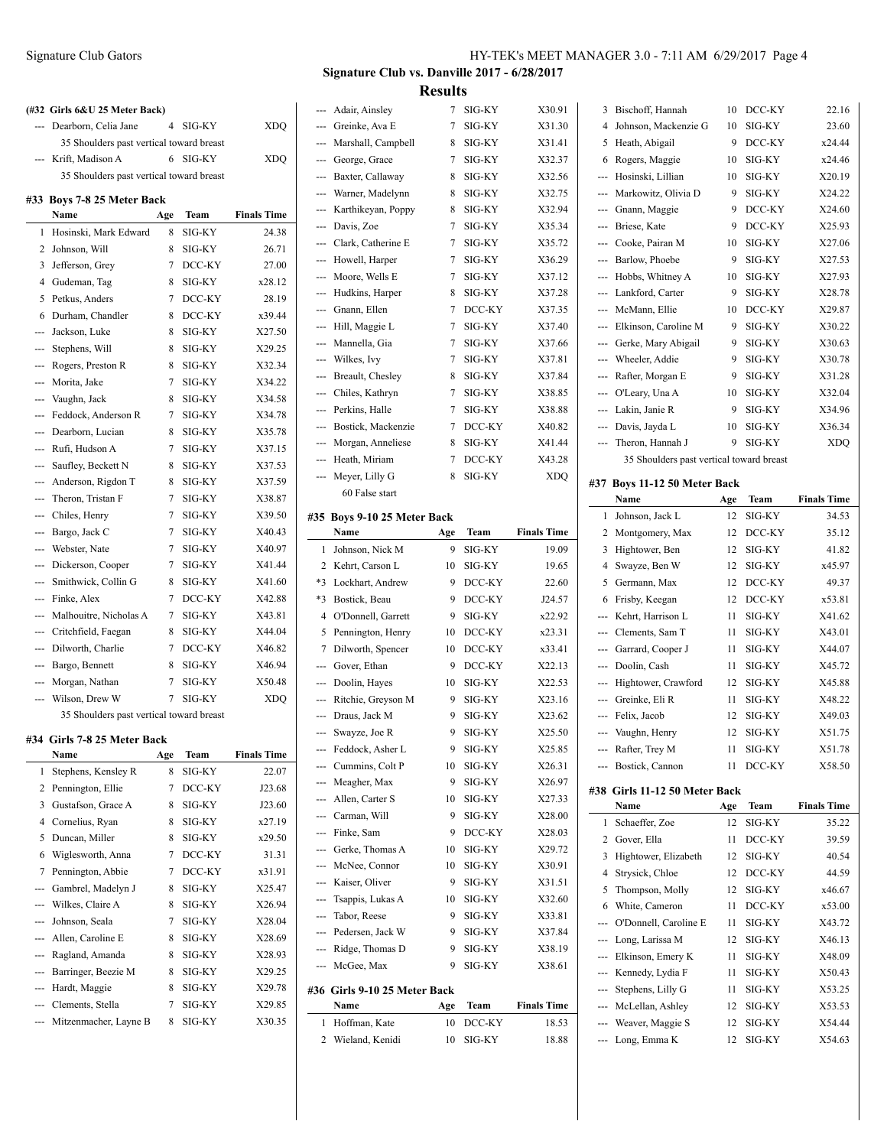|     | Wilkes, Claire A<br>Johnson, Seala                                     | 8<br>7 | SIG-KY<br>SIG-KY | X26.94<br>X28.04   |
|-----|------------------------------------------------------------------------|--------|------------------|--------------------|
| Ξ.  | Gambrel, Madelyn J                                                     | 8      | SIG-KY           | X25.47             |
| 7   | Pennington, Abbie                                                      | 7      | DCC-KY           | x31.91             |
| 6   | Wiglesworth, Anna                                                      | 7      | DCC-KY           | 31.31              |
| 5   | Duncan, Miller                                                         | 8      | SIG-KY           | x29.50             |
| 4   | Cornelius, Ryan                                                        | 8      | SIG-KY           | x27.19             |
| 3   | Gustafson, Grace A                                                     | 8      | SIG-KY           | J23.60             |
| 2   | Pennington, Ellie                                                      | 7      | DCC-KY           | J23.68             |
| 1   | Stephens, Kensley R                                                    | 8      | SIG-KY           | 22.07              |
|     | Name                                                                   | Age    | Team             | <b>Finals Time</b> |
| #34 | Girls 7-8 25 Meter Back                                                |        |                  |                    |
|     | 35 Shoulders past vertical toward breast                               |        |                  |                    |
|     | --- Wilson, Drew W                                                     | 7      | SIG-KY           | <b>XDQ</b>         |
| --- | Morgan, Nathan                                                         | 7      | SIG-KY           | X50.48             |
| --- | Bargo, Bennett                                                         | 8      | SIG-KY           | X46.94             |
| --- | Dilworth, Charlie                                                      | 7      | DCC-KY           | X46.82             |
| --- | Critchfield, Faegan                                                    | 8      | SIG-KY           | X44.04             |
|     | Malhouitre, Nicholas A                                                 | 7      | SIG-KY           | X43.81             |
| --- | Finke, Alex                                                            | 7      | DCC-KY           | X42.88             |
|     | Smithwick, Collin G                                                    | 8      | SIG-KY           | X41.60             |
|     | Dickerson, Cooper                                                      | 7      | SIG-KY           | X41.44             |
| --- | Webster, Nate                                                          | 7      | SIG-KY           | X40.97             |
| --- | Bargo, Jack C                                                          | 7      | SIG-KY           | X40.43             |
|     | --- Chiles, Henry                                                      | 7      | SIG-KY           | X39.50             |
| --- | Theron, Tristan F                                                      | 7      | SIG-KY           | X38.87             |
| --- | Anderson, Rigdon T                                                     | 8      | SIG-KY           | X37.59             |
| --- | Saufley, Beckett N                                                     | 8      | SIG-KY           | X37.53             |
| --- | Rufi, Hudson A                                                         | 7      | SIG-KY           | X37.15             |
| --- | Dearborn, Lucian                                                       | 8      | SIG-KY           | X35.78             |
| --- | Feddock, Anderson R                                                    | 7      | SIG-KY           | X34.78             |
|     | Vaughn, Jack                                                           | 8      | SIG-KY           | X34.58             |
|     | Morita, Jake                                                           | 7      | SIG-KY           | X34.22             |
|     | Rogers, Preston R                                                      | 8      | SIG-KY           | X32.34             |
| --- | Stephens, Will                                                         | 8      | SIG-KY           | X29.25             |
| --- | Jackson, Luke                                                          | 8      | SIG-KY           | X27.50             |
| 6   | Durham, Chandler                                                       | 8      | DCC-KY           | x39.44             |
| 5   | Petkus, Anders                                                         | 7      | DCC-KY           | 28.19              |
| 4   | Gudeman, Tag                                                           | 8      | SIG-KY           | x28.12             |
| 3   | Jefferson, Grey                                                        | 7      | DCC-KY           | 27.00              |
| 2   | Johnson, Will                                                          | 8      | SIG-KY           | 26.71              |
| 1   | Hosinski, Mark Edward                                                  | 8      | SIG-KY           | 24.38              |
|     | Name                                                                   | Age    | Team             | <b>Finals Time</b> |
|     | 35 Shoulders past vertical toward breast<br>#33 Boys 7-8 25 Meter Back |        |                  |                    |
|     | Krift, Madison A                                                       | 6      | SIG-KY           | XDQ                |
|     | 35 Shoulders past vertical toward breast                               |        |                  |                    |
|     |                                                                        |        |                  |                    |

--- Barringer, Beezie M 8 SIG-KY X29.25 --- Hardt, Maggie 8 SIG-KY X29.78 --- Clements, Stella 7 SIG-KY X29.85 --- Mitzenmacher, Layne B 8 SIG-KY X30.35

# **Signature Club vs. Danville 2017 - 6/28/2017 Results**

| ---               | Adair, Ainsley               | 7   | SIG-KY | X30.91             |
|-------------------|------------------------------|-----|--------|--------------------|
| ---               | Greinke, Ava E               | 7   | SIG-KY | X31.30             |
|                   | --- Marshall, Campbell       | 8   | SIG-KY | X31.41             |
| ---               | George, Grace                | 7   | SIG-KY | X32.37             |
| ---               | Baxter, Callaway             | 8   | SIG-KY | X32.56             |
|                   | --- Warner, Madelynn         | 8   | SIG-KY | X32.75             |
| ---               | Karthikeyan, Poppy           | 8   | SIG-KY | X32.94             |
| $---$             | Davis, Zoe                   | 7   | SIG-KY | X35.34             |
|                   | Clark, Catherine E           | 7   | SIG-KY | X35.72             |
| ---               | Howell, Harper               | 7   | SIG-KY | X36.29             |
| $\overline{a}$    | Moore, Wells E               | 7   | SIG-KY | X37.12             |
| ---               | Hudkins, Harper              | 8   | SIG-KY | X37.28             |
| ---               | Gnann, Ellen                 | 7   | DCC-KY | X37.35             |
| ---               | Hill, Maggie L               | 7   | SIG-KY | X37.40             |
| ---               | Mannella, Gia                | 7   | SIG-KY | X37.66             |
| ---               | Wilkes, Ivy                  | 7   | SIG-KY | X37.81             |
| ---               | Breault, Chesley             | 8   | SIG-KY | X37.84             |
|                   | --- Chiles, Kathryn          | 7   | SIG-KY | X38.85             |
| ---               | Perkins, Halle               | 7   | SIG-KY | X38.88             |
| $\qquad \qquad -$ | Bostick, Mackenzie           | 7   | DCC-KY | X40.82             |
| ---               | Morgan, Anneliese            | 8   | SIG-KY | X41.44             |
|                   | --- Heath, Miriam            | 7   | DCC-KY | X43.28             |
| ---               | Meyer, Lilly G               | 8   | SIG-KY | XDQ                |
|                   | 60 False start               |     |        |                    |
|                   |                              |     |        |                    |
|                   | #35 Boys 9-10 25 Meter Back  |     |        |                    |
|                   | Name                         | Age | Team   | <b>Finals Time</b> |
| 1                 | Johnson, Nick M              | 9   | SIG-KY | 19.09              |
| 2                 | Kehrt, Carson L              | 10  | SIG-KY | 19.65              |
| *3                | Lockhart, Andrew             | 9   | DCC-KY | 22.60              |
| *3                | Bostick, Beau                | 9   | DCC-KY | J24.57             |
| 4                 | O'Donnell, Garrett           | 9   | SIG-KY | x22.92             |
| 5                 | Pennington, Henry            | 10  | DCC-KY | x23.31             |
| 7                 | Dilworth, Spencer            | 10  | DCC-KY | x33.41             |
| ---               | Gover, Ethan                 | 9   | DCC-KY | X22.13             |
| $\cdots$          | Doolin, Hayes                | 10  | SIG-KY | X22.53             |
| ---               | Ritchie, Greyson M           | 9   | SIG-KY | X23.16             |
| ---               | Draus, Jack M                | 9   | SIG-KY | X23.62             |
| ---               | Swayze, Joe R                | 9   | SIG-KY | X25.50             |
|                   | --- Feddock, Asher L         | 9.  | SIG-KY | X25.85             |
|                   | --- Cummins, Colt P          | 10  | SIG-KY | X26.31             |
|                   | --- Meagher, Max             | 9   | SIG-KY | X26.97             |
|                   | --- Allen, Carter S          | 10  | SIG-KY | X27.33             |
|                   | --- Carman, Will             | 9   | SIG-KY | X28.00             |
|                   | --- Finke, Sam               | 9   | DCC-KY | X28.03             |
|                   | --- Gerke, Thomas A          | 10  | SIG-KY | X29.72             |
|                   | --- McNee, Connor            | 10  | SIG-KY | X30.91             |
|                   | --- Kaiser, Oliver           | 9   | SIG-KY | X31.51             |
| ---               | Tsappis, Lukas A             | 10  | SIG-KY | X32.60             |
| ---               | Tabor, Reese                 | 9   | SIG-KY | X33.81             |
|                   | --- Pedersen, Jack W         | 9   | SIG-KY | X37.84             |
|                   | --- Ridge, Thomas D          | 9   | SIG-KY | X38.19             |
| ---               | McGee, Max                   | 9   | SIG-KY | X38.61             |
|                   |                              |     |        |                    |
|                   |                              |     |        |                    |
|                   | #36 Girls 9-10 25 Meter Back |     |        |                    |
|                   | Name                         | Age | Team   | <b>Finals Time</b> |

| 3              | Bischoff, Hannah                         | 10 | DCC-KY | 22.16      |
|----------------|------------------------------------------|----|--------|------------|
| 4              | Johnson, Mackenzie G                     | 10 | SIG-KY | 23.60      |
| 5              | Heath, Abigail                           | 9  | DCC-KY | x24.44     |
| 6              | Rogers, Maggie                           | 10 | SIG-KY | x24.46     |
| $\overline{a}$ | Hosinski, Lillian                        | 10 | SIG-KY | X20.19     |
| $---$          | Markowitz, Olivia D                      | 9  | SIG-KY | X24.22     |
| $---$          | Gnann, Maggie                            | 9  | DCC-KY | X24.60     |
| $---$          | Briese, Kate                             | 9  | DCC-KY | X25.93     |
| $---$          | Cooke, Pairan M                          | 10 | SIG-KY | X27.06     |
| $\overline{a}$ | Barlow, Phoebe                           | 9  | SIG-KY | X27.53     |
| $---$          | Hobbs, Whitney A                         | 10 | SIG-KY | X27.93     |
| $\overline{a}$ | Lankford, Carter                         | 9  | SIG-KY | X28.78     |
| ---            | McMann, Ellie                            | 10 | DCC-KY | X29.87     |
| $- - -$        | Elkinson, Caroline M                     | 9  | SIG-KY | X30.22     |
| ---            | Gerke, Mary Abigail                      | 9  | SIG-KY | X30.63     |
| $---$          | Wheeler, Addie                           | 9  | SIG-KY | X30.78     |
| $- - -$        | Rafter, Morgan E                         | 9  | SIG-KY | X31.28     |
| $---$          | O'Leary, Una A                           | 10 | SIG-KY | X32.04     |
|                | --- Lakin, Janie R                       | 9  | SIG-KY | X34.96     |
| ---            | Davis, Jayda L                           | 10 | SIG-KY | X36.34     |
| $---$          | Theron, Hannah J                         | 9  | SIG-KY | <b>XDO</b> |
|                | 35 Shoulders past vertical toward breast |    |        |            |
|                |                                          |    |        |            |

## **#37 Boys 11-12 50 Meter Back**

|                | Name                          | Age | Team   | <b>Finals Time</b> |
|----------------|-------------------------------|-----|--------|--------------------|
| 1              | Johnson, Jack L               | 12  | SIG-KY | 34.53              |
| 2              | Montgomery, Max               | 12  | DCC-KY | 35.12              |
| 3              | Hightower, Ben                | 12  | SIG-KY | 41.82              |
| 4              | Swayze, Ben W                 | 12  | SIG-KY | x45.97             |
| 5              | Germann, Max                  | 12  | DCC-KY | 49.37              |
| 6              | Frisby, Keegan                | 12  | DCC-KY | x53.81             |
| ---            | Kehrt, Harrison L             | 11  | SIG-KY | X41.62             |
| ---            | Clements, Sam T               | 11  | SIG-KY | X43.01             |
| ---            | Garrard, Cooper J             | 11  | SIG-KY | X44.07             |
| ---            | Doolin, Cash                  | 11  | SIG-KY | X45.72             |
| ---            | Hightower, Crawford           | 12  | SIG-KY | X45.88             |
| ---            | Greinke, Eli R                | 11  | SIG-KY | X48.22             |
| ---            | Felix, Jacob                  | 12  | SIG-KY | X49.03             |
| ---            | Vaughn, Henry                 | 12  | SIG-KY | X51.75             |
| $\overline{a}$ | Rafter, Trey M                | 11  | SIG-KY | X51.78             |
| $\overline{a}$ | Bostick, Cannon               | 11  | DCC-KY | X58.50             |
|                | #38 Girls 11-12 50 Meter Back |     |        |                    |
|                | Name                          |     |        |                    |
|                |                               | Age | Team   | <b>Finals Time</b> |
| 1              | Schaeffer, Zoe                | 12  | SIG-KY | 35.22              |
| 2              | Gover, Ella                   | 11  | DCC-KY | 39.59              |
| 3              | Hightower, Elizabeth          | 12  | SIG-KY | 40.54              |
| 4              | Strysick, Chloe               | 12  | DCC-KY | 44.59              |
| 5              | Thompson, Molly               | 12  | SIG-KY | x46.67             |
| 6              | White, Cameron                | 11  | DCC-KY | x53.00             |
| ---            | O'Donnell, Caroline E         | 11  | SIG-KY | X43.72             |
| ---            | Long, Larissa M               | 12  | SIG-KY | X46.13             |
| ---            | Elkinson, Emery K             | 11  | SIG-KY | X48.09             |
| ---            | Kennedy, Lydia F              | 11  | SIG-KY | X50.43             |
| ---            | Stephens, Lilly G             | 11  | SIG-KY | X53.25             |
| ---            | McLellan, Ashley              | 12  | SIG-KY | X53.53             |
| ---            | Weaver, Maggie S              | 12  | SIG-KY | X54.44             |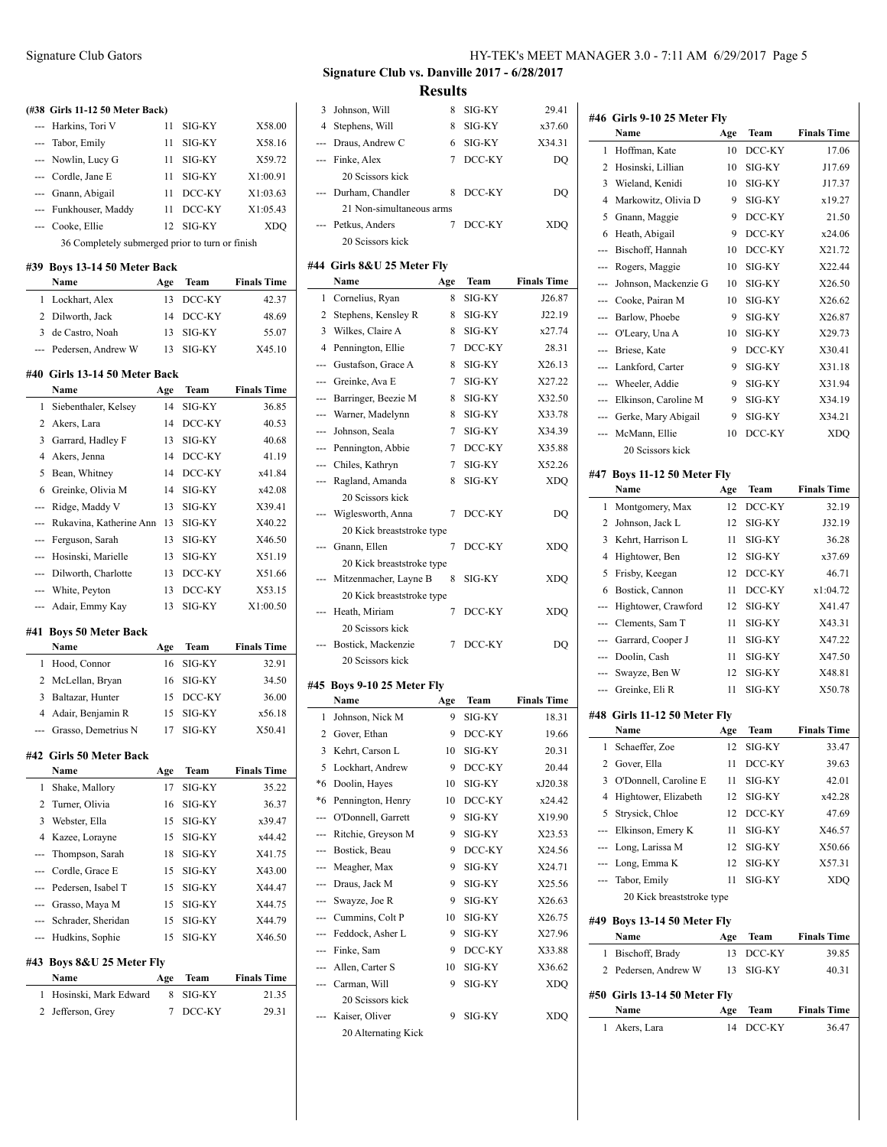# **(#38 Girls 11-12 50 Meter Back)** --- Harkins, Tori V 11 SIG-KY X58.00 --- Tabor, Emily 11 SIG-KY X58.16 --- Nowlin, Lucy G 11 SIG-KY X59.72 --- Cordle, Jane E 11 SIG-KY X1:00.91 --- Gnann, Abigail 11 DCC-KY X1:03.63 --- Funkhouser, Maddy 11 DCC-KY X1:05.43 --- Cooke, Ellie 12 SIG-KY XDQ 36 Completely submerged prior to turn or finish **#39 Boys 13-14 50 Meter Back Name Age Team Finals Time** 1 Lockhart, Alex 13 DCC-KY 42.37 2 Dilworth, Jack 14 DCC-KY 48.69 3 de Castro, Noah 13 SIG-KY 55.07 --- Pedersen, Andrew W 13 SIG-KY X45.10 **#40 Girls 13-14 50 Meter Back Name Age Team Finals Time** 1 Siebenthaler, Kelsey 14 SIG-KY 36.85 2 Akers, Lara 14 DCC-KY 40.53

| 3              | Garrard, Hadley F       | 13  | SIG-KY | 40.68              |
|----------------|-------------------------|-----|--------|--------------------|
| 4              | Akers, Jenna            | 14  | DCC-KY | 41.19              |
| 5              | Bean, Whitney           | 14  | DCC-KY | x41.84             |
| 6              | Greinke, Olivia M       | 14  | SIG-KY | x42.08             |
| ---            | Ridge, Maddy V          | 13  | SIG-KY | X39.41             |
|                | Rukavina, Katherine Ann | 13  | SIG-KY | X40.22             |
|                | Ferguson, Sarah         | 13  | SIG-KY | X46.50             |
|                | Hosinski, Marielle      | 13  | SIG-KY | X51.19             |
| $\overline{a}$ | Dilworth, Charlotte     | 13  | DCC-KY | X51.66             |
| ---            | White, Peyton           | 13  | DCC-KY | X53.15             |
|                | --- Adair, Emmy Kay     | 13  | SIG-KY | X1:00.50           |
|                | #41 Boys 50 Meter Back  |     |        |                    |
|                | Name                    | Age | Team   | <b>Finals Time</b> |
| 1              | Hood, Connor            | 16  | SIG-KY | 32.91              |
| 2              | McLellan, Bryan         | 16  | SIG-KY | 34.50              |
| 3              | Baltazar, Hunter        | 15  | DCC-KY | 36.00              |
| 4              | Adair, Benjamin R       | 15  | SIG-KY | x56.18             |
|                | Grasso. Demetrius N     | 17  | SIG-KY | X50.41             |

#### **#42 Girls 50 Meter Back**

|                           | Name                   | Age | <b>Team</b>   | <b>Finals Time</b> |
|---------------------------|------------------------|-----|---------------|--------------------|
| 1                         | Shake, Mallory         | 17  | SIG-KY        | 35.22              |
| 2                         | Turner, Olivia         | 16  | SIG-KY        | 36.37              |
| 3                         | Webster, Ella          | 15  | SIG-KY        | x39.47             |
| 4                         | Kazee, Lorayne         | 15  | SIG-KY        | x44.42             |
| ---                       | Thompson, Sarah        | 18  | SIG-KY        | X41.75             |
|                           | --- Cordle, Grace E    | 15  | SIG-KY        | X43.00             |
|                           | --- Pedersen, Isabel T | 15  | SIG-KY        | X44.47             |
| ---                       | Grasso, Maya M         | 15  | <b>SIG-KY</b> | X44.75             |
|                           | --- Schrader, Sheridan | 15  | SIG-KY        | X44.79             |
|                           | --- Hudkins, Sophie    | 15  | SIG-KY        | X46.50             |
| #43 Boys 8&U 25 Meter Fly |                        |     |               |                    |
|                           | Name                   | Age | <b>Team</b>   | <b>Finals Time</b> |
| 1                         | Hosinski, Mark Edward  | 8   | SIG-KY        | 21.35              |
| 2                         | Jefferson, Grey        | 7   | DCC-KY        | 29.31              |

# Signature Club Gators HY-TEK's MEET MANAGER 3.0 - 7:11 AM 6/29/2017 Page 5

**Signature Club vs. Danville 2017 - 6/28/2017 Results**

| 3              | Johnson, Will                         | 8   | SIG-KY           | 29.41              |
|----------------|---------------------------------------|-----|------------------|--------------------|
| 4              | Stephens, Will                        | 8   | SIG-KY           | x37.60             |
| ---            | Draus, Andrew C                       | 6   | SIG-KY           | X34.31             |
|                | Finke, Alex                           | 7   | DCC-KY           | DO                 |
|                | 20 Scissors kick                      |     |                  |                    |
|                | Durham, Chandler                      | 8   | DCC-KY           | DQ                 |
|                | 21 Non-simultaneous arms              |     |                  |                    |
|                | Petkus, Anders                        | 7   | DCC-KY           | XDQ                |
|                | 20 Scissors kick                      |     |                  |                    |
|                |                                       |     |                  |                    |
|                | #44 Girls 8&U 25 Meter Fly<br>Name    | Age | Team             | <b>Finals Time</b> |
| 1              | Cornelius, Ryan                       | 8   | SIG-KY           | J26.87             |
| 2              | Stephens, Kensley R                   | 8   | SIG-KY           | J22.19             |
| 3              | Wilkes, Claire A                      | 8   | SIG-KY           | x27.74             |
| $\overline{4}$ |                                       | 7   |                  | 28.31              |
|                | Pennington, Ellie                     |     | DCC-KY           |                    |
| ---            | Gustafson, Grace A                    | 8   | SIG-KY           | X26.13             |
| ---            | Greinke, Ava E                        | 7   | SIG-KY           | X27.22             |
| ---            | Barringer, Beezie M                   | 8   | SIG-KY           | X32.50             |
| ---            | Warner, Madelynn                      | 8   | SIG-KY           | X33.78             |
| ---            | Johnson, Seala                        | 7   | SIG-KY           | X34.39             |
| ---            | Pennington, Abbie                     | 7   | DCC-KY           | X35.88             |
| ---            | Chiles, Kathryn                       | 7   | SIG-KY           | X52.26             |
| ---            | Ragland, Amanda                       | 8   | SIG-KY           | <b>XDQ</b>         |
|                | 20 Scissors kick                      |     |                  |                    |
|                | Wiglesworth, Anna                     | 7   | DCC-KY           | DQ                 |
|                | 20 Kick breaststroke type             |     |                  |                    |
|                | Gnann, Ellen                          | 7   | DCC-KY           | XDQ                |
|                | 20 Kick breaststroke type             |     |                  |                    |
|                |                                       |     |                  |                    |
|                | Mitzenmacher, Layne B                 | 8   | SIG-KY           | XDQ                |
|                | 20 Kick breaststroke type             |     |                  |                    |
|                | Heath, Miriam                         | 7   | DCC-KY           | XDQ                |
|                | 20 Scissors kick                      |     |                  |                    |
|                | Bostick, Mackenzie                    | 7   | DCC-KY           | DQ                 |
|                | 20 Scissors kick                      |     |                  |                    |
| #45            |                                       |     |                  |                    |
|                | Boys 9-10 25 Meter Fly<br>Name        | Age | Team             | <b>Finals Time</b> |
| 1              | Johnson, Nick M                       | 9   | SIG-KY           | 18.31              |
| 2              | Gover, Ethan                          | 9   | DCC-KY           | 19.66              |
| 3              |                                       | 10  | SIG-KY           | 20.31              |
| 5              | Kehrt, Carson L<br>Lockhart, Andrew   | 9   | DCC-KY           | 20.44              |
| *6             | Doolin, Hayes                         | 10  | SIG-KY           | xJ20.38            |
| *6             | Pennington, Henry                     | 10  | DCC-KY           | x24.42             |
| ---            | O'Donnell, Garrett                    | 9   | SIG-KY           | X19.90             |
| ---            |                                       | 9   | SIG-KY           |                    |
| ---            | Ritchie, Greyson M                    | 9   |                  | X23.53             |
| ---            | Bostick, Beau                         | 9   | DCC-KY<br>SIG-KY | X24.56             |
|                | Meagher, Max                          |     |                  | X24.71             |
| ---            | Draus, Jack M                         | 9   | SIG-KY           | X25.56             |
|                | --- Swayze, Joe R                     | 9   | SIG-KY           | X26.63             |
|                | --- Cummins, Colt P                   | 10  | SIG-KY           | X26.75             |
|                | --- Feddock, Asher L                  | 9   | SIG-KY           | X27.96             |
|                | --- Finke, Sam                        | 9   | DCC-KY           | X33.88             |
|                | --- Allen, Carter S                   | 10  | SIG-KY           | X36.62             |
|                | Carman, Will                          | 9   | SIG-KY           | <b>XDQ</b>         |
|                | 20 Scissors kick                      |     |                  |                    |
|                | Kaiser, Oliver<br>20 Alternating Kick | 9   | SIG-KY           | XDQ                |

 $\overline{\phantom{a}}$ 

|                          | #46 Girls 9-10 25 Meter Flv         |     |        |                    |
|--------------------------|-------------------------------------|-----|--------|--------------------|
|                          | Name                                | Age | Team   | <b>Finals Time</b> |
| 1                        | Hoffman, Kate                       | 10  | DCC-KY | 17.06              |
| 2                        | Hosinski, Lillian                   | 10  | SIG-KY | J17.69             |
| 3                        | Wieland, Kenidi                     | 10  | SIG-KY | J17.37             |
| 4                        | Markowitz, Olivia D                 | 9   | SIG-KY | x19.27             |
| 5                        | Gnann, Maggie                       | 9   | DCC-KY | 21.50              |
| 6                        | Heath, Abigail                      | 9   | DCC-KY | x24.06             |
| ---                      | Bischoff, Hannah                    | 10  | DCC-KY | X21.72             |
|                          | Rogers, Maggie                      | 10  | SIG-KY | X22.44             |
|                          | Johnson, Mackenzie G                | 10  | SIG-KY | X26.50             |
| ---                      | Cooke, Pairan M                     | 10  | SIG-KY | X26.62             |
|                          | Barlow, Phoebe                      | 9   | SIG-KY | X26.87             |
| ---                      | O'Leary, Una A                      | 10  | SIG-KY | X29.73             |
| ---                      | Briese, Kate                        | 9   | DCC-KY | X30.41             |
| ---                      | Lankford, Carter                    | 9   | SIG-KY | X31.18             |
| ---                      | Wheeler, Addie                      | 9   | SIG-KY | X31.94             |
| ---                      | Elkinson, Caroline M                | 9   | SIG-KY | X34.19             |
| ---                      | Gerke, Mary Abigail                 | 9   | SIG-KY | X34.21             |
| ---                      | McMann, Ellie                       | 10  | DCC-KY | <b>XDO</b>         |
|                          | 20 Scissors kick                    |     |        |                    |
|                          | #47 Boys 11-12 50 Meter Fly         |     |        |                    |
|                          | Name                                | Age | Team   | <b>Finals Time</b> |
| 1                        | Montgomery, Max                     | 12  | DCC-KY | 32.19              |
| 2                        | Johnson, Jack L                     | 12  | SIG-KY | J32.19             |
| 3                        | Kehrt, Harrison L                   | 11  | SIG-KY | 36.28              |
| 4                        | Hightower, Ben                      | 12  | SIG-KY | x37.69             |
| 5                        | Frisby, Keegan                      | 12  | DCC-KY | 46.71              |
| 6                        | Bostick, Cannon                     | 11  | DCC-KY | x1:04.72           |
| ---                      | Hightower, Crawford                 | 12  | SIG-KY | X41.47             |
|                          | Clements, Sam T                     | 11  | SIG-KY | X43.31             |
|                          | Garrard, Cooper J                   | 11  | SIG-KY | X47.22             |
| ---                      | Doolin, Cash                        | 11  | SIG-KY | X47.50             |
| ---                      | Swayze, Ben W                       | 12  | SIG-KY | X48.81             |
|                          | Greinke, Eli R                      | 11  | SIG-KY | X50.78             |
| ---                      |                                     |     |        |                    |
|                          | #48 Girls 11-12 50 Meter Fly        |     |        |                    |
|                          | Name                                | Age | Team   | <b>Finals Time</b> |
| 1                        | Schaeffer, Zoe                      | 12  | SIG-KY | 33.47              |
| 2                        | Gover, Ella                         | 11  | DCC-KY | 39.63              |
| 3                        | O'Donnell, Caroline E               | 11  | SIG-KY | 42.01              |
| 4                        | Hightower, Elizabeth                | 12  | SIG-KY | x42.28             |
| 5                        | Strysick, Chloe                     | 12  | DCC-KY | 47.69              |
| $\overline{\phantom{a}}$ | Elkinson, Emery K                   | 11  | SIG-KY | X46.57             |
| ---                      | Long, Larissa M                     | 12  | SIG-KY | X50.66             |
| ---                      | Long, Emma K                        | 12  | SIG-KY | X57.31             |
| ---                      | Tabor, Emily                        | 11  | SIG-KY | XDQ                |
|                          | 20 Kick breaststroke type           |     |        |                    |
|                          |                                     |     |        |                    |
|                          | #49 Boys 13-14 50 Meter Fly<br>Name | Age | Team   | <b>Finals Time</b> |
|                          | Bischoff, Brady                     | 13  | DCC-KY | 39.85              |
|                          |                                     |     |        |                    |
| 1                        |                                     |     |        |                    |
| 2                        | Pedersen, Andrew W                  | 13  | SIG-KY | 40.31              |
|                          | #50 Girls 13-14 50 Meter Fly        |     |        |                    |
|                          | Name                                | Age | Team   | <b>Finals Time</b> |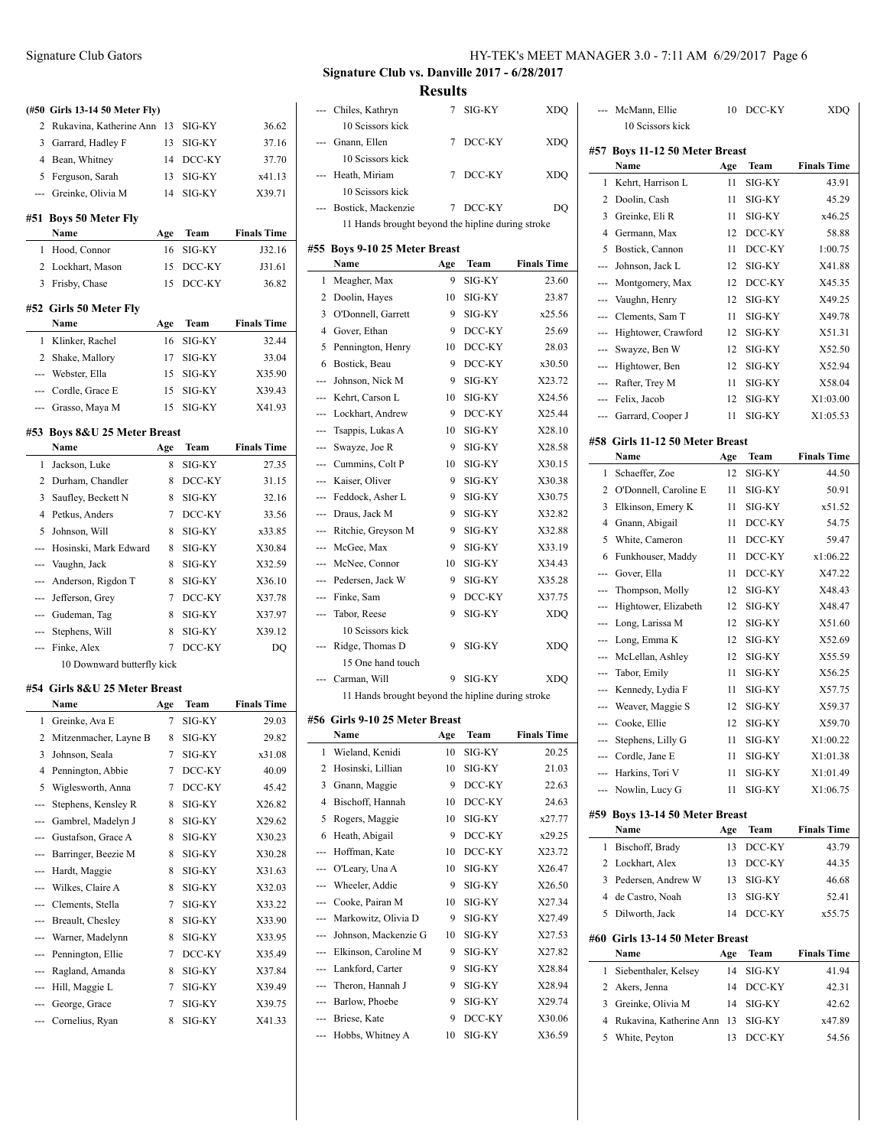|              | (#50 Girls 13-14 50 Meter Fly)        |          |        |                    |     |
|--------------|---------------------------------------|----------|--------|--------------------|-----|
| 2            | Rukavina, Katherine Ann 13            |          | SIG-KY | 36.62              |     |
|              | 3 Garrard, Hadley F                   | 13       | SIG-KY | 37.16              |     |
|              | 4 Bean, Whitney                       | 14       | DCC-KY | 37.70              |     |
|              | 5 Ferguson, Sarah                     | 13       | SIG-KY | x41.13             |     |
|              | --- Greinke, Olivia M                 | 14       | SIG-KY | X39.71             |     |
|              | #51 Boys 50 Meter Fly                 |          |        |                    |     |
|              | Name                                  | Age      | Team   | <b>Finals Time</b> |     |
|              | 1 Hood, Connor                        | 16       | SIG-KY | J32.16             | #5. |
|              | 2 Lockhart, Mason                     | 15       | DCC-KY | J31.61             |     |
|              | 3 Frisby, Chase                       | 15       | DCC-KY | 36.82              |     |
|              |                                       |          |        |                    |     |
|              | #52 Girls 50 Meter Fly                |          |        |                    |     |
|              | Name                                  | Age      | Team   | <b>Finals Time</b> |     |
| 1            | Klinker, Rachel                       | 16       | SIG-KY | 32.44              |     |
|              | 2 Shake, Mallory                      | 17       | SIG-KY | 33.04              |     |
|              | --- Webster, Ella                     | 15       | SIG-KY | X35.90             |     |
|              | --- Cordle, Grace E                   | 15       | SIG-KY | X39.43             |     |
|              | --- Grasso, Maya M                    | 15       | SIG-KY | X41.93             |     |
|              | #53 Boys 8&U 25 Meter Breast          |          |        |                    |     |
|              | Name                                  | Age      | Team   | <b>Finals Time</b> |     |
| $\mathbf{1}$ | Jackson, Luke                         | 8        | SIG-KY | 27.35              |     |
|              | 2 Durham, Chandler                    | 8        | DCC-KY | 31.15              |     |
|              | 3 Saufley, Beckett N                  | 8        | SIG-KY | 32.16              |     |
|              | 4 Petkus, Anders                      | 7        | DCC-KY | 33.56              |     |
| 5            | Johnson, Will                         | 8        | SIG-KY | x33.85             |     |
| ---          | Hosinski, Mark Edward                 | 8        | SIG-KY | X30.84             |     |
|              | Vaughn, Jack                          | 8        | SIG-KY | X32.59             |     |
|              | --- Anderson, Rigdon T                | 8        | SIG-KY | X36.10             |     |
|              | --- Jefferson, Grey                   | 7        | DCC-KY | X37.78             |     |
|              | --- Gudeman, Tag                      | 8        | SIG-KY | X37.97             |     |
|              | --- Stephens, Will                    | 8        | SIG-KY | X39.12             |     |
| ---          | Finke, Alex                           | 7        | DCC-KY | DQ                 |     |
|              | 10 Downward butterfly kick            |          |        |                    |     |
|              |                                       |          |        |                    |     |
|              | #54 Girls 8&U 25 Meter Breast<br>Name |          | Team   | <b>Finals Time</b> |     |
| 1            | Greinke, Ava E                        | Age<br>7 | SIG-KY | 29.03              | #50 |
|              |                                       | 8        | SIG-KY | 29.82              |     |
|              | 2 Mitzenmacher, Layne B               |          |        |                    |     |

| 54 - Giris 8&U 45 Meter Breast |                       |     |        | 11 Hands brought beyond the hipline during stroke |                        |                                |     |          |                    |
|--------------------------------|-----------------------|-----|--------|---------------------------------------------------|------------------------|--------------------------------|-----|----------|--------------------|
|                                | Name                  | Age | Team   | <b>Finals Time</b>                                |                        |                                |     |          |                    |
|                                | Greinke, Ava E        | 7   | SIG-KY | 29.03                                             |                        | #56 Girls 9-10 25 Meter Breast |     |          |                    |
| 2                              | Mitzenmacher, Layne B | 8   | SIG-KY | 29.82                                             |                        | Name                           | Age | Team     | <b>Finals Time</b> |
| 3.                             | Johnson, Seala        | 7   | SIG-KY | x31.08                                            |                        | 1 Wieland, Kenidi              | 10  | SIG-KY   | 20.25              |
| 4                              | Pennington, Abbie     | 7   | DCC-KY | 40.09                                             | 2                      | Hosinski, Lillian              | 10  | SIG-KY   | 21.03              |
| 5                              | Wiglesworth, Anna     | 7   | DCC-KY | 45.42                                             | 3                      | Gnann, Maggie                  | 9   | DCC-KY   | 22.63              |
|                                | Stephens, Kensley R   | 8   | SIG-KY | X26.82                                            | 4                      | Bischoff, Hannah               | 10  | DCC-KY   | 24.63              |
|                                | Gambrel, Madelyn J    | 8   | SIG-KY | X29.62                                            | 5                      | Rogers, Maggie                 | 10  | $SIG-KY$ | x27.77             |
|                                | Gustafson, Grace A    | 8   | SIG-KY | X30.23                                            | 6                      | Heath, Abigail                 | 9   | DCC-KY   | x29.25             |
|                                | Barringer, Beezie M   | 8   | SIG-KY | X30.28                                            |                        | Hoffman, Kate                  | 10  | DCC-KY   | X23.72             |
|                                | Hardt, Maggie         | 8   | SIG-KY | X31.63                                            | $\qquad \qquad \cdots$ | O'Leary, Una A                 | 10  | SIG-KY   | X26.47             |
| ---                            | Wilkes, Claire A      | 8   | SIG-KY | X32.03                                            | $\qquad \qquad \cdots$ | Wheeler, Addie                 | 9   | SIG-KY   | X26.50             |
|                                | Clements, Stella      | 7   | SIG-KY | X33.22                                            | ---                    | Cooke, Pairan M                | 10  | $SIG-KY$ | X27.34             |
| ---                            | Breault, Chesley      | 8   | SIG-KY | X33.90                                            | $\qquad \qquad -$      | Markowitz, Olivia D            | 9   | SIG-KY   | X27.49             |
|                                | Warner, Madelynn      | 8   | SIG-KY | X33.95                                            | ---                    | Johnson, Mackenzie G           | 10  | SIG-KY   | X27.53             |
| ---                            | Pennington, Ellie     |     | DCC-KY | X35.49                                            |                        | Elkinson, Caroline M           | 9   | SIG-KY   | X27.82             |
|                                | Ragland, Amanda       | 8   | SIG-KY | X37.84                                            | $\qquad \qquad \cdots$ | Lankford, Carter               | 9   | $SIG-KY$ | X28.84             |
| ---                            | Hill, Maggie L        |     | SIG-KY | X39.49                                            |                        | Theron. Hannah J               | 9   | $SIG-KY$ | X28.94             |
|                                | George, Grace         | 7   | SIG-KY | X39.75                                            | $\qquad \qquad \cdots$ | Barlow, Phoebe                 | 9   | SIG-KY   | X29.74             |
|                                | Cornelius, Ryan       | 8   | SIG-KY | X41.33                                            | $\qquad \qquad -$      | Briese, Kate                   | 9   | DCC-KY   | X30.06             |
|                                |                       |     |        |                                                   | ---                    | Hobbs, Whitney A               | 10  | $SIG-KY$ | X36.59             |

# Signature Club Gators HY-TEK's MEET MANAGER 3.0 - 7:11 AM 6/29/2017 Page 6

**Signature Club vs. Danville 2017 - 6/28/2017 Results**

|     | --- Chiles, Kathryn                               | 7               | SIG-KY    | XDQ                |  |
|-----|---------------------------------------------------|-----------------|-----------|--------------------|--|
|     | 10 Scissors kick                                  |                 |           |                    |  |
|     | Gnann, Ellen                                      | 7               | DCC-KY    | <b>XDQ</b>         |  |
|     | 10 Scissors kick                                  |                 |           |                    |  |
|     | --- Heath, Miriam<br>10 Seissors kick             | 7               | DCC-KY    | <b>XDO</b>         |  |
|     |                                                   |                 |           |                    |  |
|     | Bostick, Mackenzie                                | $7\phantom{.0}$ | DCC-KY    | DQ                 |  |
|     | 11 Hands brought beyond the hipline during stroke |                 |           |                    |  |
|     | #55 Boys 9-10 25 Meter Breast                     |                 |           |                    |  |
|     | Name                                              | Age             | Team      | <b>Finals Time</b> |  |
| 1   | Meagher, Max                                      | 9               | SIG-KY    | 23.60              |  |
|     | 2 Doolin, Hayes                                   | 10              | SIG-KY    | 23.87              |  |
| 3   | O'Donnell, Garrett                                | 9               | SIG-KY    | x25.56             |  |
|     | 4 Gover, Ethan                                    | 9               | DCC-KY    | 25.69              |  |
|     | 5 Pennington, Henry                               | 10              | DCC-KY    | 28.03              |  |
|     | 6 Bostick, Beau                                   | - 9             | DCC-KY    | x30.50             |  |
|     | --- Johnson, Nick M                               | - 9             | SIG-KY    | X23.72             |  |
|     | --- Kehrt, Carson L                               | 10              | SIG-KY    | X24.56             |  |
|     | --- Lockhart, Andrew                              | - 9             | DCC-KY    | X25.44             |  |
|     | --- Tsappis, Lukas A                              | 10              | SIG-KY    | X28.10             |  |
|     | --- Swayze, Joe R                                 | - 9             | SIG-KY    | X28.58             |  |
|     | --- Cummins, Colt P                               | 10              | SIG-KY    | X30.15             |  |
|     | --- Kaiser, Oliver                                | 9               | SIG-KY    | X30.38             |  |
|     | --- Feddock, Asher L                              | 9               | SIG-KY    | X30.75             |  |
|     | --- Draus, Jack M                                 | 9               | SIG-KY    | X32.82             |  |
|     | --- Ritchie, Greyson M                            | 9               | SIG-KY    | X32.88             |  |
|     | --- McGee, Max                                    | 9               | SIG-KY    | X33.19             |  |
|     | --- McNee, Connor                                 | - 10            | SIG-KY    | X34.43             |  |
|     | --- Pedersen, Jack W                              | 9               | SIG-KY    | X35.28             |  |
|     | --- Finke, Sam                                    | 9               | DCC-KY    | X37.75             |  |
|     | --- Tabor, Reese                                  | 9               | SIG-KY    | <b>XDQ</b>         |  |
|     | 10 Scissors kick                                  |                 |           |                    |  |
|     | Ridge, Thomas D                                   | 9               | SIG-KY    | <b>XDQ</b>         |  |
|     | 15 One hand touch                                 |                 |           |                    |  |
|     | --- Carman, Will                                  | 9               | SIG-KY    | <b>XDQ</b>         |  |
|     | 11 Hands brought beyond the hipline during stroke |                 |           |                    |  |
|     | #56 Girls 9-10 25 Meter Breast                    |                 |           |                    |  |
|     | Name                                              | Age             | Team      | <b>Finals Time</b> |  |
| 1   | Wieland, Kenidi                                   |                 | 10 SIG-KY | 20.25              |  |
| 2   | Hosinski, Lillian                                 | 10              | SIG-KY    | 21.03              |  |
| 3   | Gnann, Maggie                                     | 9               | DCC-KY    | 22.63              |  |
| 4   | Bischoff, Hannah                                  | 10              | DCC-KY    | 24.63              |  |
| 5   | Rogers, Maggie                                    | 10              | SIG-KY    | x27.77             |  |
| 6   | Heath, Abigail                                    | 9               | DCC-KY    | x29.25             |  |
| --- | Hoffman, Kate                                     | 10              | DCC-KY    | X23.72             |  |
| --- | O'Leary, Una A                                    | 10              | SIG-KY    | X26.47             |  |
| --- | Wheeler, Addie                                    | 9               | SIG-KY    | X26.50             |  |
|     | --- Cooke, Pairan M                               | 10              | SIG-KY    | X27.34             |  |
| --- | Markowitz, Olivia D                               | 9               | SIG-KY    | X27.49             |  |
|     | --- Johnson, Mackenzie G                          | 10              | SIG-KY    | X27.53             |  |
| --- | Elkinson, Caroline M                              | 9               | SIG-KY    | X27.82             |  |
| --- |                                                   |                 |           |                    |  |
|     | Lankford, Carter                                  | 9               | SIG-KY    | X28.84             |  |
| --- | Theron, Hannah J                                  | 9               | SIG-KY    | X28.94             |  |

| $\overline{a}$                                                                                                                                                                                                                                                                                                                                                                                                                                                             | McMann, Ellie                            | 10       | DCC-KY           | XDQ                |
|----------------------------------------------------------------------------------------------------------------------------------------------------------------------------------------------------------------------------------------------------------------------------------------------------------------------------------------------------------------------------------------------------------------------------------------------------------------------------|------------------------------------------|----------|------------------|--------------------|
|                                                                                                                                                                                                                                                                                                                                                                                                                                                                            | 10 Scissors kick                         |          |                  |                    |
|                                                                                                                                                                                                                                                                                                                                                                                                                                                                            |                                          |          |                  |                    |
|                                                                                                                                                                                                                                                                                                                                                                                                                                                                            | #57 Boys 11-12 50 Meter Breast           |          |                  |                    |
|                                                                                                                                                                                                                                                                                                                                                                                                                                                                            | Name                                     | Age      | Team             | <b>Finals Time</b> |
| 1                                                                                                                                                                                                                                                                                                                                                                                                                                                                          | Kehrt, Harrison L                        | 11       | SIG-KY           | 43.91              |
| 2                                                                                                                                                                                                                                                                                                                                                                                                                                                                          | Doolin, Cash                             | 11       | SIG-KY           | 45.29              |
| 3                                                                                                                                                                                                                                                                                                                                                                                                                                                                          | Greinke, Eli R                           | 11       | SIG-KY           | x46.25             |
| 4                                                                                                                                                                                                                                                                                                                                                                                                                                                                          | Germann, Max                             | 12       | DCC-KY           | 58.88              |
| 5                                                                                                                                                                                                                                                                                                                                                                                                                                                                          | Bostick, Cannon                          | 11       | DCC-KY           | 1:00.75            |
| $\overline{a}$                                                                                                                                                                                                                                                                                                                                                                                                                                                             | Johnson, Jack L                          | 12       | SIG-KY           | X41.88             |
| ---                                                                                                                                                                                                                                                                                                                                                                                                                                                                        | Montgomery, Max                          | 12       | DCC-KY           | X45.35             |
| ---                                                                                                                                                                                                                                                                                                                                                                                                                                                                        | Vaughn, Henry                            | 12       | SIG-KY           | X49.25             |
| $---$                                                                                                                                                                                                                                                                                                                                                                                                                                                                      | Clements, Sam T                          | 11       | SIG-KY           | X49.78             |
| ---                                                                                                                                                                                                                                                                                                                                                                                                                                                                        | Hightower, Crawford                      | 12       | SIG-KY           | X51.31             |
| $\cdots$                                                                                                                                                                                                                                                                                                                                                                                                                                                                   | Swayze, Ben W                            | 12       | SIG-KY           | X52.50             |
| ---                                                                                                                                                                                                                                                                                                                                                                                                                                                                        | Hightower, Ben                           | 12       | SIG-KY           | X52.94             |
| ---                                                                                                                                                                                                                                                                                                                                                                                                                                                                        | Rafter, Trey M                           | 11       | SIG-KY           | X58.04             |
| ---                                                                                                                                                                                                                                                                                                                                                                                                                                                                        | Felix, Jacob                             | 12       | SIG-KY           | X1:03.00           |
| ---                                                                                                                                                                                                                                                                                                                                                                                                                                                                        | Garrard, Cooper J                        | 11       | SIG-KY           | X1:05.53           |
|                                                                                                                                                                                                                                                                                                                                                                                                                                                                            |                                          |          |                  |                    |
|                                                                                                                                                                                                                                                                                                                                                                                                                                                                            | #58 Girls 11-12 50 Meter Breast          |          |                  |                    |
|                                                                                                                                                                                                                                                                                                                                                                                                                                                                            | Name                                     | Age      | Team             | <b>Finals Time</b> |
| 1                                                                                                                                                                                                                                                                                                                                                                                                                                                                          | Schaeffer, Zoe                           | 12       | SIG-KY           | 44.50              |
| 2                                                                                                                                                                                                                                                                                                                                                                                                                                                                          | O'Donnell, Caroline E                    | 11       | SIG-KY           | 50.91              |
| 3                                                                                                                                                                                                                                                                                                                                                                                                                                                                          | Elkinson, Emery K                        | 11       | SIG-KY           | x51.52             |
| 4                                                                                                                                                                                                                                                                                                                                                                                                                                                                          | Gnann, Abigail                           | 11       | DCC-KY           | 54.75              |
| 5                                                                                                                                                                                                                                                                                                                                                                                                                                                                          | White, Cameron                           | 11       | DCC-KY           | 59.47              |
| 6                                                                                                                                                                                                                                                                                                                                                                                                                                                                          | Funkhouser, Maddy                        | 11       | DCC-KY           | x1:06.22           |
| $\frac{1}{2} \left( \frac{1}{2} \right) \left( \frac{1}{2} \right) \left( \frac{1}{2} \right) \left( \frac{1}{2} \right) \left( \frac{1}{2} \right) \left( \frac{1}{2} \right) \left( \frac{1}{2} \right) \left( \frac{1}{2} \right) \left( \frac{1}{2} \right) \left( \frac{1}{2} \right) \left( \frac{1}{2} \right) \left( \frac{1}{2} \right) \left( \frac{1}{2} \right) \left( \frac{1}{2} \right) \left( \frac{1}{2} \right) \left( \frac{1}{2} \right) \left( \frac$ | Gover, Ella                              | 11       | DCC-KY           | X47.22             |
| ---                                                                                                                                                                                                                                                                                                                                                                                                                                                                        | Thompson, Molly                          | 12       | SIG-KY           | X48.43             |
| ---                                                                                                                                                                                                                                                                                                                                                                                                                                                                        | Hightower, Elizabeth                     | 12       | SIG-KY           | X48.47             |
| ---                                                                                                                                                                                                                                                                                                                                                                                                                                                                        | Long, Larissa M                          | 12       | SIG-KY           | X51.60             |
| ---                                                                                                                                                                                                                                                                                                                                                                                                                                                                        | Long, Emma K                             | 12       | SIG-KY           | X52.69             |
|                                                                                                                                                                                                                                                                                                                                                                                                                                                                            |                                          |          |                  |                    |
| ---                                                                                                                                                                                                                                                                                                                                                                                                                                                                        | McLellan, Ashley                         | 12       | SIG-KY           | X55.59             |
| ---                                                                                                                                                                                                                                                                                                                                                                                                                                                                        | Tabor, Emily                             | 11       | SIG-KY           | X56.25             |
| $---$                                                                                                                                                                                                                                                                                                                                                                                                                                                                      | Kennedy, Lydia F                         | 11       | SIG-KY           | X57.75             |
| ---                                                                                                                                                                                                                                                                                                                                                                                                                                                                        | Weaver, Maggie S                         | 12       | SIG-KY           | X59.37             |
| ---                                                                                                                                                                                                                                                                                                                                                                                                                                                                        | Cooke, Ellie                             | 12       | SIG-KY           | X59.70             |
| ---                                                                                                                                                                                                                                                                                                                                                                                                                                                                        | Stephens, Lilly G                        | 11       | SIG-KY           | X1:00.22           |
| ---                                                                                                                                                                                                                                                                                                                                                                                                                                                                        | Cordle, Jane E                           | 11       | SIG-KY           | X1:01.38           |
|                                                                                                                                                                                                                                                                                                                                                                                                                                                                            | --- Harkins, Tori V                      | 11       | SIG-KY           | X1:01.49           |
|                                                                                                                                                                                                                                                                                                                                                                                                                                                                            | --- Nowlin, Lucy G                       | 11       | SIG-KY           | X1:06.75           |
|                                                                                                                                                                                                                                                                                                                                                                                                                                                                            | #59 Boys 13-14 50 Meter Breast           |          |                  |                    |
|                                                                                                                                                                                                                                                                                                                                                                                                                                                                            | Name                                     | Age      | Team             | <b>Finals Time</b> |
| 1                                                                                                                                                                                                                                                                                                                                                                                                                                                                          | Bischoff, Brady                          | 13       | DCC-KY           | 43.79              |
|                                                                                                                                                                                                                                                                                                                                                                                                                                                                            | Lockhart, Alex                           |          | DCC-KY           | 44.35              |
| 2                                                                                                                                                                                                                                                                                                                                                                                                                                                                          |                                          | 13       |                  |                    |
| 3                                                                                                                                                                                                                                                                                                                                                                                                                                                                          | Pedersen, Andrew W                       | 13       | SIG-KY           | 46.68              |
| 4                                                                                                                                                                                                                                                                                                                                                                                                                                                                          | de Castro, Noah                          | 13       | SIG-KY           | 52.41              |
| 5                                                                                                                                                                                                                                                                                                                                                                                                                                                                          | Dilworth, Jack                           | 14       | DCC-KY           | x55.75             |
|                                                                                                                                                                                                                                                                                                                                                                                                                                                                            | #60 Girls 13-14 50 Meter Breast          |          |                  |                    |
|                                                                                                                                                                                                                                                                                                                                                                                                                                                                            | Name                                     | Age      | Team             | <b>Finals Time</b> |
| 1                                                                                                                                                                                                                                                                                                                                                                                                                                                                          | Siebenthaler, Kelsey                     | 14       | SIG-KY           | 41.94              |
| 2                                                                                                                                                                                                                                                                                                                                                                                                                                                                          | Akers, Jenna                             | 14       | DCC-KY           | 42.31              |
| 3                                                                                                                                                                                                                                                                                                                                                                                                                                                                          |                                          |          |                  |                    |
|                                                                                                                                                                                                                                                                                                                                                                                                                                                                            |                                          |          |                  |                    |
|                                                                                                                                                                                                                                                                                                                                                                                                                                                                            | Greinke, Olivia M                        | 14       | SIG-KY           | 42.62              |
| 4<br>5                                                                                                                                                                                                                                                                                                                                                                                                                                                                     | Rukavina, Katherine Ann<br>White, Peyton | 13<br>13 | SIG-KY<br>DCC-KY | x47.89<br>54.56    |